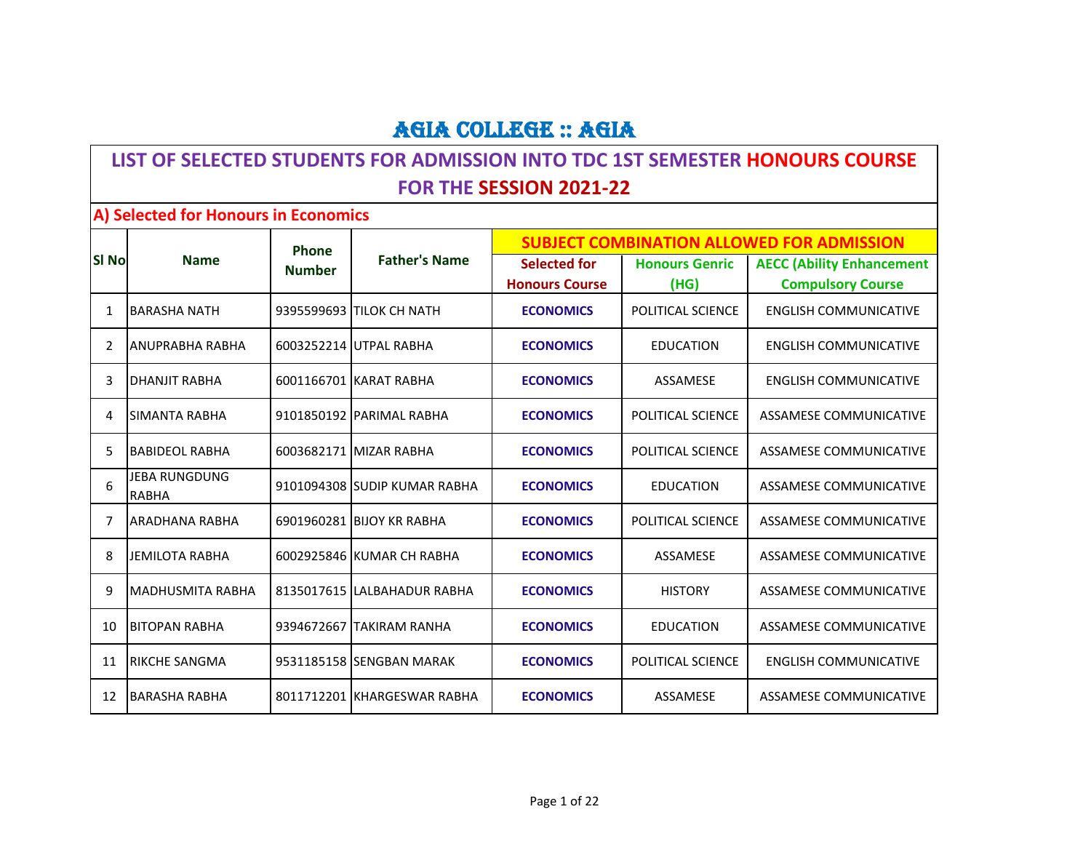#### **LIST OF SELECTED STUDENTS FOR ADMISSION INTO TDC 1ST SEMESTER HONOURS COURSE FOR THE SESSION 2021-22**

#### **A) Selected for Honours in Economics**

|               |                               | Phone         | <b>Father's Name</b>         | <b>SUBJECT COMBINATION ALLOWED FOR ADMISSION</b> |                               |                                                              |
|---------------|-------------------------------|---------------|------------------------------|--------------------------------------------------|-------------------------------|--------------------------------------------------------------|
| SI No         | <b>Name</b>                   | <b>Number</b> |                              | <b>Selected for</b><br><b>Honours Course</b>     | <b>Honours Genric</b><br>(HG) | <b>AECC (Ability Enhancement</b><br><b>Compulsory Course</b> |
| $\mathbf 1$   | <b>BARASHA NATH</b>           |               | 9395599693 TILOK CH NATH     | <b>ECONOMICS</b>                                 | POLITICAL SCIENCE             | <b>ENGLISH COMMUNICATIVE</b>                                 |
| $\mathcal{P}$ | <b>ANUPRABHA RABHA</b>        |               | 6003252214 UTPAL RABHA       | <b>ECONOMICS</b>                                 | <b>EDUCATION</b>              | <b>ENGLISH COMMUNICATIVE</b>                                 |
| 3             | DHANJIT RABHA                 |               | 6001166701 KARAT RABHA       | <b>ECONOMICS</b>                                 | ASSAMESE                      | <b>ENGLISH COMMUNICATIVE</b>                                 |
| 4             | <b>SIMANTA RABHA</b>          |               | 9101850192 PARIMAL RABHA     | <b>ECONOMICS</b>                                 | POLITICAL SCIENCE             | ASSAMESE COMMUNICATIVE                                       |
| 5             | <b>BABIDEOL RABHA</b>         |               | 6003682171 MIZAR RABHA       | <b>ECONOMICS</b>                                 | POLITICAL SCIENCE             | ASSAMESE COMMUNICATIVE                                       |
| 6             | <b>JEBA RUNGDUNG</b><br>RABHA |               | 9101094308 SUDIP KUMAR RABHA | <b>ECONOMICS</b>                                 | <b>EDUCATION</b>              | ASSAMESE COMMUNICATIVE                                       |
| 7             | <b>ARADHANA RABHA</b>         |               | 6901960281 BIJOY KR RABHA    | <b>ECONOMICS</b>                                 | POLITICAL SCIENCE             | ASSAMESE COMMUNICATIVE                                       |
| 8             | <b>JEMILOTA RABHA</b>         |               | 6002925846 KUMAR CH RABHA    | <b>ECONOMICS</b>                                 | ASSAMESE                      | <b>ASSAMESE COMMUNICATIVE</b>                                |
| 9             | <b>MADHUSMITA RABHA</b>       |               | 8135017615 LALBAHADUR RABHA  | <b>ECONOMICS</b>                                 | <b>HISTORY</b>                | <b>ASSAMESE COMMUNICATIVE</b>                                |
| 10            | <b>BITOPAN RABHA</b>          |               | 9394672667 TAKIRAM RANHA     | <b>ECONOMICS</b>                                 | <b>EDUCATION</b>              | ASSAMESE COMMUNICATIVE                                       |
| 11            | <b>RIKCHE SANGMA</b>          |               | 9531185158 SENGBAN MARAK     | <b>ECONOMICS</b>                                 | POLITICAL SCIENCE             | <b>ENGLISH COMMUNICATIVE</b>                                 |
| 12            | <b>BARASHA RABHA</b>          |               | 8011712201 KHARGESWAR RABHA  | <b>ECONOMICS</b>                                 | ASSAMESE                      | <b>ASSAMESE COMMUNICATIVE</b>                                |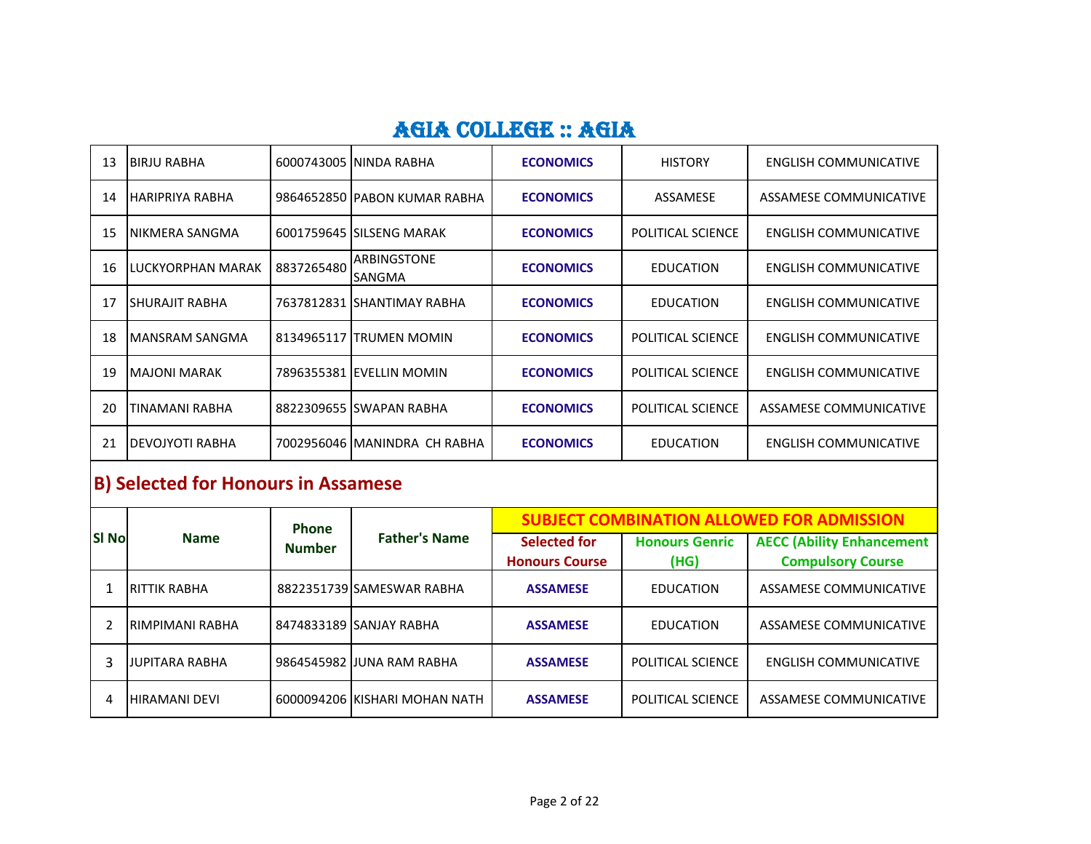| 13 | IBIRJU RABHA      |            | 6000743005 ININDA RABHA             | <b>ECONOMICS</b> | <b>HISTORY</b>    | ENGLISH COMMUNICATIVE        |
|----|-------------------|------------|-------------------------------------|------------------|-------------------|------------------------------|
| 14 | IHARIPRIYA RABHA  |            | 9864652850 PABON KUMAR RABHA        | <b>ECONOMICS</b> | ASSAMESE          | ASSAMESE COMMUNICATIVE       |
| 15 | NIKMERA SANGMA    |            | 6001759645 SILSENG MARAK            | <b>ECONOMICS</b> | POLITICAL SCIENCE | ENGLISH COMMUNICATIVE        |
| 16 | LUCKYORPHAN MARAK | 8837265480 | <b>ARBINGSTONE</b><br><b>SANGMA</b> | <b>ECONOMICS</b> | EDUCATION         | ENGLISH COMMUNICATIVE        |
| 17 | ISHURAJIT RABHA   |            | 7637812831 ISHANTIMAY RABHA         | <b>ECONOMICS</b> | <b>EDUCATION</b>  | ENGLISH COMMUNICATIVE        |
| 18 | IMANSRAM SANGMA   |            | 8134965117 TRUMEN MOMIN             | <b>ECONOMICS</b> | POLITICAL SCIENCE | ENGLISH COMMUNICATIVE        |
| 19 | IMAJONI MARAK     |            | 7896355381 IEVELLIN MOMIN           | <b>ECONOMICS</b> | POLITICAL SCIENCE | <b>ENGLISH COMMUNICATIVE</b> |
| 20 | TINAMANI RABHA    |            | 8822309655 SWAPAN RABHA             | <b>ECONOMICS</b> | POLITICAL SCIENCE | ASSAMESE COMMUNICATIVE       |
| 21 | IDEVOJYOTI RABHA  |            | 7002956046 MANINDRA CH RABHA        | <b>ECONOMICS</b> | <b>EDUCATION</b>  | ENGLISH COMMUNICATIVE        |

## **B) Selected for Honours in Assamese**

| <b>SI No</b> | <b>Name</b>            | <b>Phone</b><br><b>Number</b> | <b>Father's Name</b>          | <b>SUBJECT COMBINATION ALLOWED FOR ADMISSION</b> |                               |                                                              |  |
|--------------|------------------------|-------------------------------|-------------------------------|--------------------------------------------------|-------------------------------|--------------------------------------------------------------|--|
|              |                        |                               |                               | <b>Selected for</b><br><b>Honours Course</b>     | <b>Honours Genric</b><br>(HG) | <b>AECC (Ability Enhancement</b><br><b>Compulsory Course</b> |  |
|              | <b>RITTIK RABHA</b>    |                               | 8822351739 SAMESWAR RABHA     | <b>ASSAMESE</b>                                  | EDUCATION                     | ASSAMESE COMMUNICATIVE                                       |  |
|              | <b>RIMPIMANI RABHA</b> |                               | 8474833189 SANJAY RABHA       | <b>ASSAMESE</b>                                  | <b>EDUCATION</b>              | ASSAMESE COMMUNICATIVE                                       |  |
|              | JUPITARA RABHA         |                               | 9864545982 JJUNA RAM RABHA    | <b>ASSAMESE</b>                                  | POLITICAL SCIENCE             | <b>ENGLISH COMMUNICATIVE</b>                                 |  |
|              | <b>HIRAMANI DEVI</b>   |                               | 6000094206 KISHARI MOHAN NATH | <b>ASSAMESE</b>                                  | POLITICAL SCIENCE             | ASSAMESE COMMUNICATIVE                                       |  |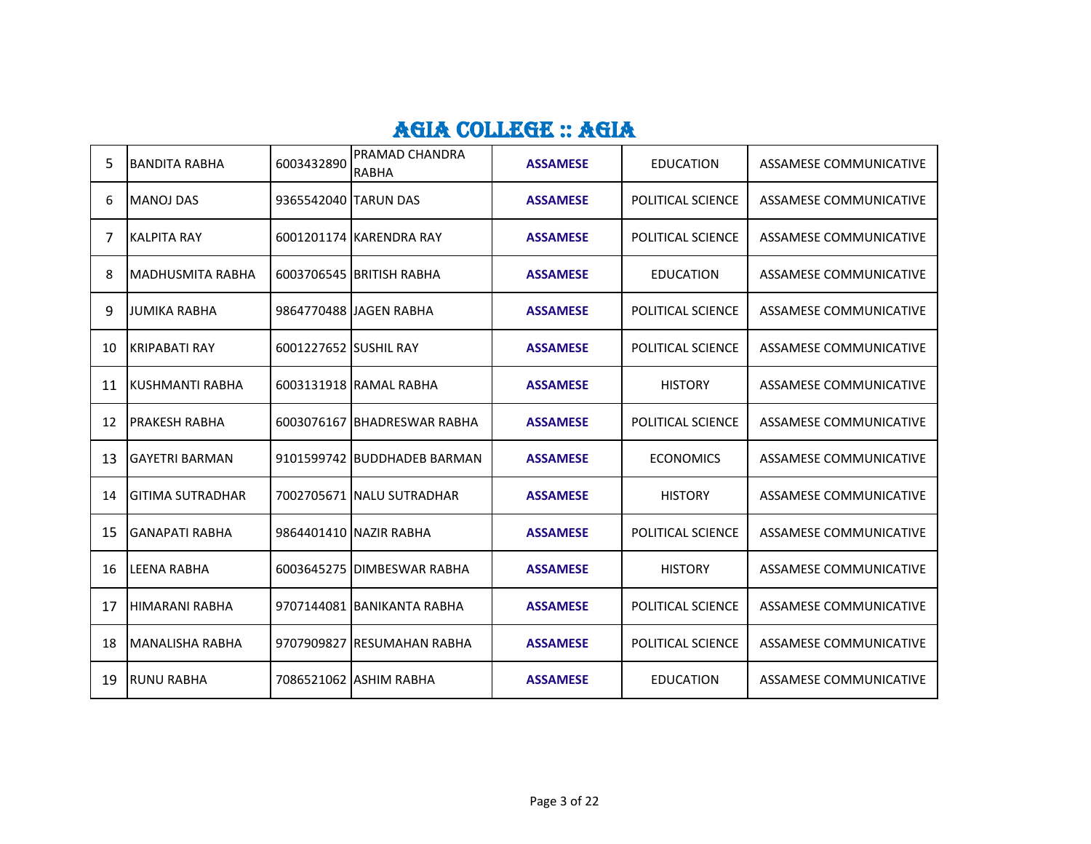| 5  | <b>BANDITA RABHA</b>    | 6003432890            | PRAMAD CHANDRA<br>RABHA     | <b>ASSAMESE</b> | <b>EDUCATION</b>  | ASSAMESE COMMUNICATIVE        |
|----|-------------------------|-----------------------|-----------------------------|-----------------|-------------------|-------------------------------|
| 6  | <b>MANOJ DAS</b>        | 9365542040 TARUN DAS  |                             | <b>ASSAMESE</b> | POLITICAL SCIENCE | ASSAMESE COMMUNICATIVE        |
| 7  | <b>KALPITA RAY</b>      |                       | 6001201174 KARENDRA RAY     | <b>ASSAMESE</b> | POLITICAL SCIENCE | ASSAMESE COMMUNICATIVE        |
| 8  | <b>MADHUSMITA RABHA</b> |                       | 6003706545 BRITISH RABHA    | <b>ASSAMESE</b> | <b>EDUCATION</b>  | ASSAMESE COMMUNICATIVE        |
| 9  | <b>JUMIKA RABHA</b>     |                       | 9864770488 JJAGEN RABHA     | <b>ASSAMESE</b> | POLITICAL SCIENCE | ASSAMESE COMMUNICATIVE        |
| 10 | KRIPABATI RAY           | 6001227652 SUSHIL RAY |                             | <b>ASSAMESE</b> | POLITICAL SCIENCE | ASSAMESE COMMUNICATIVE        |
| 11 | KUSHMANTI RABHA         |                       | 6003131918 RAMAL RABHA      | <b>ASSAMESE</b> | <b>HISTORY</b>    | <b>ASSAMESE COMMUNICATIVE</b> |
| 12 | PRAKESH RABHA           |                       | 6003076167 BHADRESWAR RABHA | <b>ASSAMESE</b> | POLITICAL SCIENCE | <b>ASSAMESE COMMUNICATIVE</b> |
| 13 | <b>GAYETRI BARMAN</b>   |                       | 9101599742 BUDDHADEB BARMAN | <b>ASSAMESE</b> | <b>ECONOMICS</b>  | <b>ASSAMESE COMMUNICATIVE</b> |
| 14 | <b>GITIMA SUTRADHAR</b> |                       | 7002705671 NALU SUTRADHAR   | <b>ASSAMESE</b> | <b>HISTORY</b>    | ASSAMESE COMMUNICATIVE        |
| 15 | <b>GANAPATI RABHA</b>   |                       | 9864401410 NAZIR RABHA      | <b>ASSAMESE</b> | POLITICAL SCIENCE | ASSAMESE COMMUNICATIVE        |
| 16 | <b>LEENA RABHA</b>      |                       | 6003645275 DIMBESWAR RABHA  | <b>ASSAMESE</b> | <b>HISTORY</b>    | ASSAMESE COMMUNICATIVE        |
| 17 | <b>HIMARANI RABHA</b>   |                       | 9707144081 BANIKANTA RABHA  | <b>ASSAMESE</b> | POLITICAL SCIENCE | ASSAMESE COMMUNICATIVE        |
| 18 | <b>MANALISHA RABHA</b>  |                       | 9707909827 RESUMAHAN RABHA  | <b>ASSAMESE</b> | POLITICAL SCIENCE | ASSAMESE COMMUNICATIVE        |
| 19 | <b>RUNU RABHA</b>       |                       | 7086521062 ASHIM RABHA      | <b>ASSAMESE</b> | <b>EDUCATION</b>  | ASSAMESE COMMUNICATIVE        |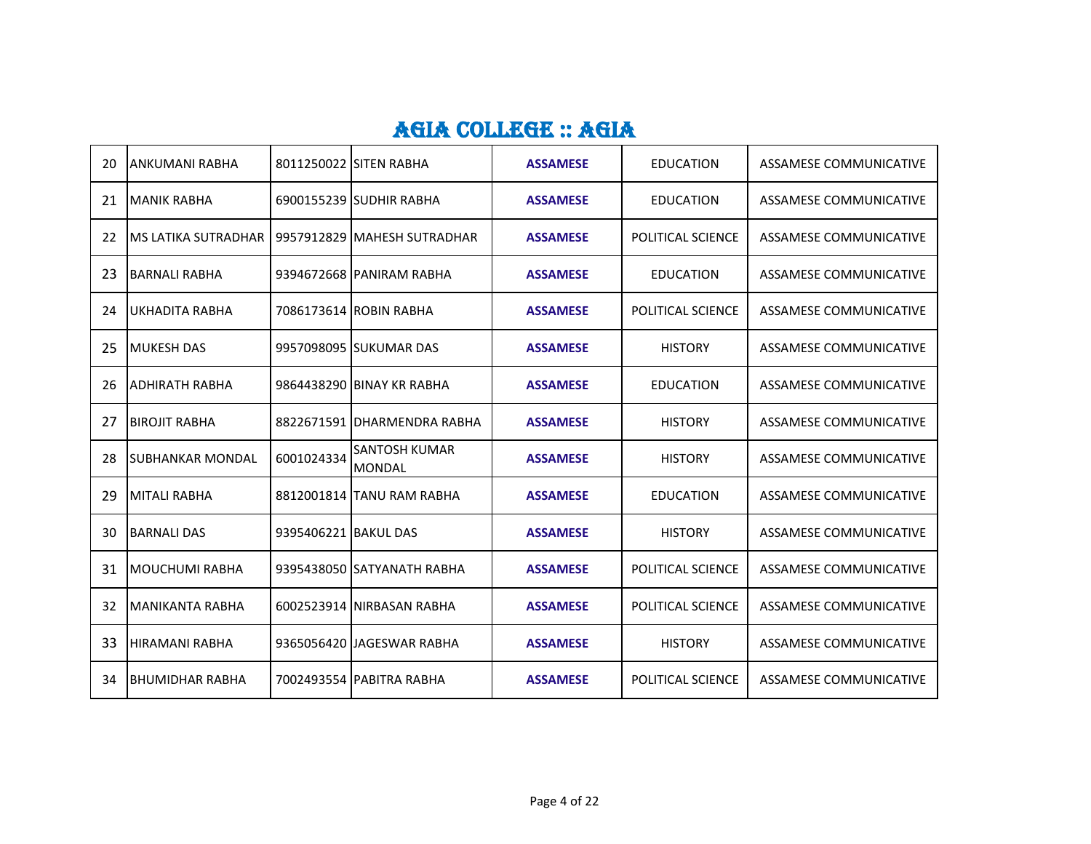| 20  | ANKUMANI RABHA           |                      | 8011250022 SITEN RABHA                | <b>ASSAMESE</b> | <b>EDUCATION</b>  | ASSAMESE COMMUNICATIVE        |
|-----|--------------------------|----------------------|---------------------------------------|-----------------|-------------------|-------------------------------|
| 21  | <b>MANIK RABHA</b>       |                      | 6900155239 SUDHIR RABHA               | <b>ASSAMESE</b> | <b>EDUCATION</b>  | ASSAMESE COMMUNICATIVE        |
| 22  | IMS LATIKA SUTRADHAR     |                      | 9957912829 MAHESH SUTRADHAR           | <b>ASSAMESE</b> | POLITICAL SCIENCE | ASSAMESE COMMUNICATIVE        |
| 23  | BARNALI RABHA            |                      | 9394672668 PANIRAM RABHA              | <b>ASSAMESE</b> | <b>EDUCATION</b>  | ASSAMESE COMMUNICATIVE        |
| 24  | UKHADITA RABHA           |                      | 7086173614 ROBIN RABHA                | <b>ASSAMESE</b> | POLITICAL SCIENCE | ASSAMESE COMMUNICATIVE        |
| 25  | <b>MUKESH DAS</b>        |                      | 9957098095 SUKUMAR DAS                | <b>ASSAMESE</b> | <b>HISTORY</b>    | ASSAMESE COMMUNICATIVE        |
| 26  | IADHIRATH RABHA          |                      | 9864438290 BINAY KR RABHA             | <b>ASSAMESE</b> | <b>EDUCATION</b>  | <b>ASSAMESE COMMUNICATIVE</b> |
| 27  | IBIROJIT RABHA           |                      | 8822671591 IDHARMENDRA RABHA          | <b>ASSAMESE</b> | <b>HISTORY</b>    | ASSAMESE COMMUNICATIVE        |
| 28  | <b>ISUBHANKAR MONDAL</b> | 6001024334           | <b>SANTOSH KUMAR</b><br><b>MONDAL</b> | <b>ASSAMESE</b> | <b>HISTORY</b>    | ASSAMESE COMMUNICATIVE        |
| 29  | <b>MITALI RABHA</b>      |                      | 8812001814 TANU RAM RABHA             | <b>ASSAMESE</b> | <b>EDUCATION</b>  | ASSAMESE COMMUNICATIVE        |
| 30  | <b>BARNALI DAS</b>       | 9395406221 BAKUL DAS |                                       | <b>ASSAMESE</b> | <b>HISTORY</b>    | ASSAMESE COMMUNICATIVE        |
| 31  | IMOUCHUMI RABHA          |                      | 9395438050 SATYANATH RABHA            | <b>ASSAMESE</b> | POLITICAL SCIENCE | ASSAMESE COMMUNICATIVE        |
| 32  | MANIKANTA RABHA          |                      | 6002523914 NIRBASAN RABHA             | <b>ASSAMESE</b> | POLITICAL SCIENCE | ASSAMESE COMMUNICATIVE        |
| 33. | <b>HIRAMANI RABHA</b>    |                      | 9365056420 JJAGESWAR RABHA            | <b>ASSAMESE</b> | <b>HISTORY</b>    | ASSAMESE COMMUNICATIVE        |
| 34  | IBHUMIDHAR RABHA         |                      | 7002493554 PABITRA RABHA              | <b>ASSAMESE</b> | POLITICAL SCIENCE | ASSAMESE COMMUNICATIVE        |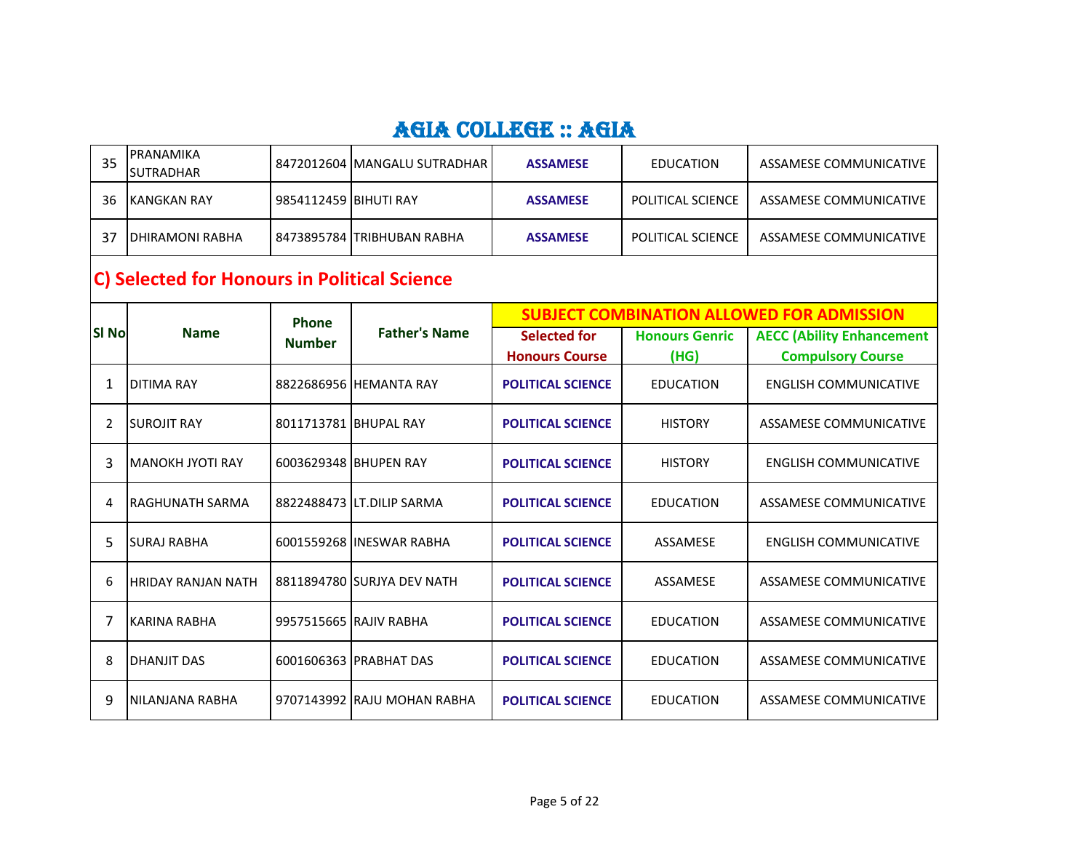| 35           | PRANAMIKA<br><b>SUTRADHAR</b>                |                       | 8472012604 MANGALU SUTRADHAR | <b>ASSAMESE</b>                              | <b>EDUCATION</b>              | ASSAMESE COMMUNICATIVE                                       |  |  |  |
|--------------|----------------------------------------------|-----------------------|------------------------------|----------------------------------------------|-------------------------------|--------------------------------------------------------------|--|--|--|
| 36           | <b>KANGKAN RAY</b>                           | 9854112459 BIHUTI RAY |                              | <b>ASSAMESE</b>                              | POLITICAL SCIENCE             | ASSAMESE COMMUNICATIVE                                       |  |  |  |
| 37           | <b>DHIRAMONI RABHA</b>                       |                       | 8473895784 TRIBHUBAN RABHA   | <b>ASSAMESE</b>                              | POLITICAL SCIENCE             | ASSAMESE COMMUNICATIVE                                       |  |  |  |
|              | C) Selected for Honours in Political Science |                       |                              |                                              |                               |                                                              |  |  |  |
|              |                                              | Phone                 |                              |                                              |                               | <b>SUBJECT COMBINATION ALLOWED FOR ADMISSION</b>             |  |  |  |
| <b>SI No</b> | <b>Name</b>                                  | <b>Number</b>         | <b>Father's Name</b>         | <b>Selected for</b><br><b>Honours Course</b> | <b>Honours Genric</b><br>(HG) | <b>AECC (Ability Enhancement</b><br><b>Compulsory Course</b> |  |  |  |
| 1            | <b>DITIMA RAY</b>                            |                       | 8822686956 HEMANTA RAY       | <b>POLITICAL SCIENCE</b>                     | <b>EDUCATION</b>              | <b>ENGLISH COMMUNICATIVE</b>                                 |  |  |  |
| 2            | <b>SUROJIT RAY</b>                           |                       | 8011713781 BHUPAL RAY        | <b>POLITICAL SCIENCE</b>                     | <b>HISTORY</b>                | <b>ASSAMESE COMMUNICATIVE</b>                                |  |  |  |
| 3            | MANOKH JYOTI RAY                             |                       | 6003629348 BHUPEN RAY        | <b>POLITICAL SCIENCE</b>                     | <b>HISTORY</b>                | <b>ENGLISH COMMUNICATIVE</b>                                 |  |  |  |
| 4            | <b>RAGHUNATH SARMA</b>                       |                       | 8822488473 LT.DILIP SARMA    | <b>POLITICAL SCIENCE</b>                     | <b>EDUCATION</b>              | <b>ASSAMESE COMMUNICATIVE</b>                                |  |  |  |
| 5            | <b>SURAJ RABHA</b>                           |                       | 6001559268 IINESWAR RABHA    | <b>POLITICAL SCIENCE</b>                     | ASSAMESE                      | <b>ENGLISH COMMUNICATIVE</b>                                 |  |  |  |
| 6            | <b>HRIDAY RANJAN NATH</b>                    |                       | 8811894780 SURJYA DEV NATH   | <b>POLITICAL SCIENCE</b>                     | ASSAMESE                      | <b>ASSAMESE COMMUNICATIVE</b>                                |  |  |  |
| 7            | <b>KARINA RABHA</b>                          |                       | 9957515665 RAJIV RABHA       | <b>POLITICAL SCIENCE</b>                     | <b>EDUCATION</b>              | <b>ASSAMESE COMMUNICATIVE</b>                                |  |  |  |
| 8            | <b>DHANJIT DAS</b>                           |                       | 6001606363 PRABHAT DAS       | <b>POLITICAL SCIENCE</b>                     | <b>EDUCATION</b>              | ASSAMESE COMMUNICATIVE                                       |  |  |  |
| 9            | NILANJANA RABHA                              |                       | 9707143992 RAJU MOHAN RABHA  | <b>POLITICAL SCIENCE</b>                     | <b>EDUCATION</b>              | <b>ASSAMESE COMMUNICATIVE</b>                                |  |  |  |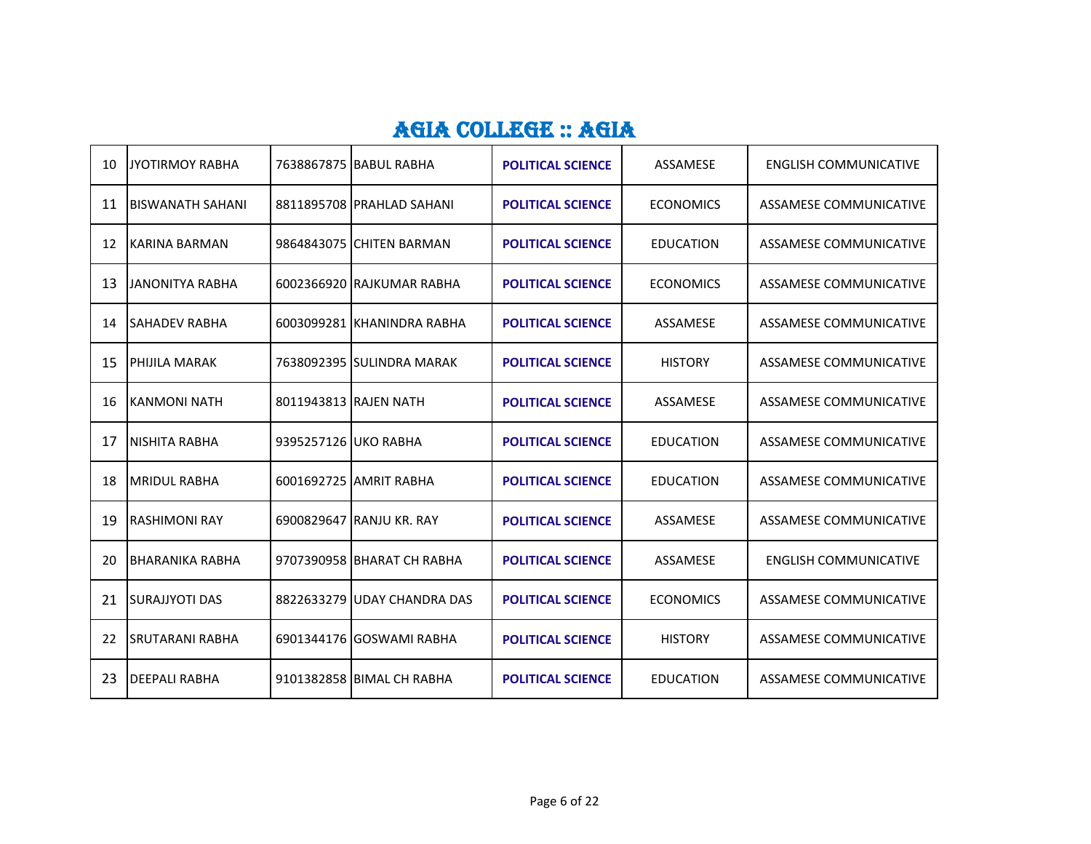| 10 | <b>JYOTIRMOY RABHA</b>  |                      | 7638867875 BABUL RABHA       | <b>POLITICAL SCIENCE</b> | ASSAMESE         | ENGLISH COMMUNICATIVE        |
|----|-------------------------|----------------------|------------------------------|--------------------------|------------------|------------------------------|
| 11 | <b>BISWANATH SAHANI</b> |                      | 8811895708 PRAHLAD SAHANI    | <b>POLITICAL SCIENCE</b> | <b>ECONOMICS</b> | ASSAMESE COMMUNICATIVE       |
| 12 | KARINA BARMAN           |                      | 9864843075 CHITEN BARMAN     | <b>POLITICAL SCIENCE</b> | <b>EDUCATION</b> | ASSAMESE COMMUNICATIVE       |
| 13 | <b>JANONITYA RABHA</b>  |                      | 6002366920 RAJKUMAR RABHA    | <b>POLITICAL SCIENCE</b> | <b>ECONOMICS</b> | ASSAMESE COMMUNICATIVE       |
| 14 | <b>SAHADEV RABHA</b>    |                      | 6003099281 KHANINDRA RABHA   | <b>POLITICAL SCIENCE</b> | ASSAMESE         | ASSAMESE COMMUNICATIVE       |
| 15 | PHIJILA MARAK           |                      | 7638092395 SULINDRA MARAK    | <b>POLITICAL SCIENCE</b> | <b>HISTORY</b>   | ASSAMESE COMMUNICATIVE       |
| 16 | KANMONI NATH            |                      | 8011943813 RAJEN NATH        | <b>POLITICAL SCIENCE</b> | ASSAMESE         | ASSAMESE COMMUNICATIVE       |
| 17 | NISHITA RABHA           | 9395257126 UKO RABHA |                              | <b>POLITICAL SCIENCE</b> | <b>EDUCATION</b> | ASSAMESE COMMUNICATIVE       |
| 18 | <b>MRIDUL RABHA</b>     |                      | 6001692725 AMRIT RABHA       | <b>POLITICAL SCIENCE</b> | <b>EDUCATION</b> | ASSAMESE COMMUNICATIVE       |
| 19 | IRASHIMONI RAY          |                      | 6900829647 RANJU KR. RAY     | <b>POLITICAL SCIENCE</b> | ASSAMESE         | ASSAMESE COMMUNICATIVE       |
| 20 | BHARANIKA RABHA         |                      | 9707390958 BHARAT CH RABHA   | <b>POLITICAL SCIENCE</b> | ASSAMESE         | <b>ENGLISH COMMUNICATIVE</b> |
| 21 | <b>SURAJJYOTI DAS</b>   |                      | 8822633279 JUDAY CHANDRA DAS | <b>POLITICAL SCIENCE</b> | <b>ECONOMICS</b> | ASSAMESE COMMUNICATIVE       |
| 22 | <b>SRUTARANI RABHA</b>  |                      | 6901344176 GOSWAMI RABHA     | <b>POLITICAL SCIENCE</b> | <b>HISTORY</b>   | ASSAMESE COMMUNICATIVE       |
| 23 | <b>DEEPALI RABHA</b>    |                      | 9101382858 BIMAL CH RABHA    | <b>POLITICAL SCIENCE</b> | <b>EDUCATION</b> | ASSAMESE COMMUNICATIVE       |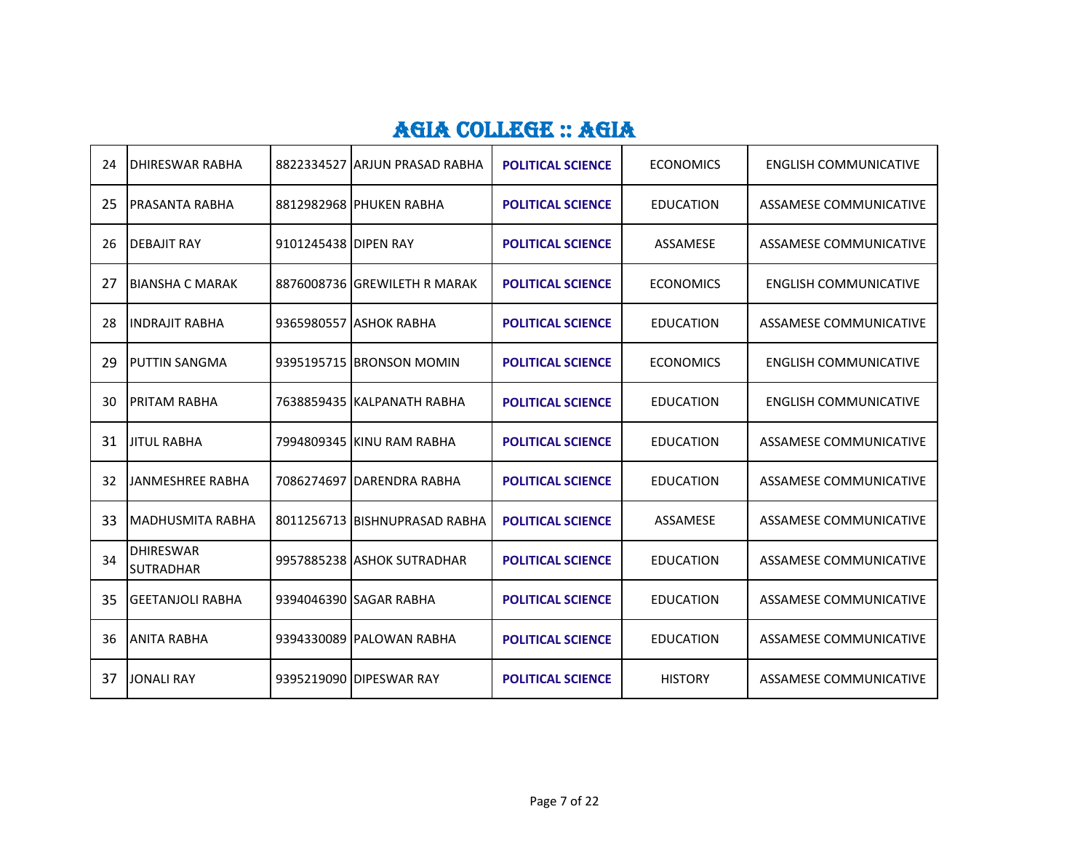| 24 | DHIRESWAR RABHA                      |                      | 8822334527 ARJUN PRASAD RABHA | <b>POLITICAL SCIENCE</b> | <b>ECONOMICS</b> | <b>ENGLISH COMMUNICATIVE</b>  |
|----|--------------------------------------|----------------------|-------------------------------|--------------------------|------------------|-------------------------------|
| 25 | PRASANTA RABHA                       |                      | 8812982968 PHUKEN RABHA       | <b>POLITICAL SCIENCE</b> | <b>EDUCATION</b> | ASSAMESE COMMUNICATIVE        |
| 26 | <b>DEBAJIT RAY</b>                   | 9101245438 DIPEN RAY |                               | <b>POLITICAL SCIENCE</b> | ASSAMESE         | <b>ASSAMESE COMMUNICATIVE</b> |
| 27 | IBIANSHA C MARAK                     |                      | 8876008736 GREWILETH R MARAK  | <b>POLITICAL SCIENCE</b> | <b>ECONOMICS</b> | ENGLISH COMMUNICATIVE         |
| 28 | <b>INDRAJIT RABHA</b>                |                      | 9365980557 ASHOK RABHA        | <b>POLITICAL SCIENCE</b> | <b>EDUCATION</b> | <b>ASSAMESE COMMUNICATIVE</b> |
| 29 | <b>PUTTIN SANGMA</b>                 |                      | 9395195715 BRONSON MOMIN      | <b>POLITICAL SCIENCE</b> | <b>ECONOMICS</b> | <b>ENGLISH COMMUNICATIVE</b>  |
| 30 | PRITAM RABHA                         |                      | 7638859435 KALPANATH RABHA    | <b>POLITICAL SCIENCE</b> | <b>EDUCATION</b> | <b>ENGLISH COMMUNICATIVE</b>  |
| 31 | <b>JITUL RABHA</b>                   |                      | 7994809345 KINU RAM RABHA     | <b>POLITICAL SCIENCE</b> | <b>EDUCATION</b> | <b>ASSAMESE COMMUNICATIVE</b> |
| 32 | JANMESHREE RABHA                     |                      | 7086274697 DARENDRA RABHA     | <b>POLITICAL SCIENCE</b> | <b>EDUCATION</b> | <b>ASSAMESE COMMUNICATIVE</b> |
| 33 | <b>MADHUSMITA RABHA</b>              |                      | 8011256713 BISHNUPRASAD RABHA | <b>POLITICAL SCIENCE</b> | ASSAMESE         | <b>ASSAMESE COMMUNICATIVE</b> |
| 34 | <b>DHIRESWAR</b><br><b>SUTRADHAR</b> |                      | 9957885238 ASHOK SUTRADHAR    | <b>POLITICAL SCIENCE</b> | <b>EDUCATION</b> | <b>ASSAMESE COMMUNICATIVE</b> |
| 35 | <b>GEETANJOLI RABHA</b>              |                      | 9394046390 SAGAR RABHA        | <b>POLITICAL SCIENCE</b> | <b>EDUCATION</b> | ASSAMESE COMMUNICATIVE        |
| 36 | <b>ANITA RABHA</b>                   |                      | 9394330089 PALOWAN RABHA      | <b>POLITICAL SCIENCE</b> | <b>EDUCATION</b> | <b>ASSAMESE COMMUNICATIVE</b> |
| 37 | <b>JONALI RAY</b>                    |                      | 9395219090 DIPESWAR RAY       | <b>POLITICAL SCIENCE</b> | <b>HISTORY</b>   | ASSAMESE COMMUNICATIVE        |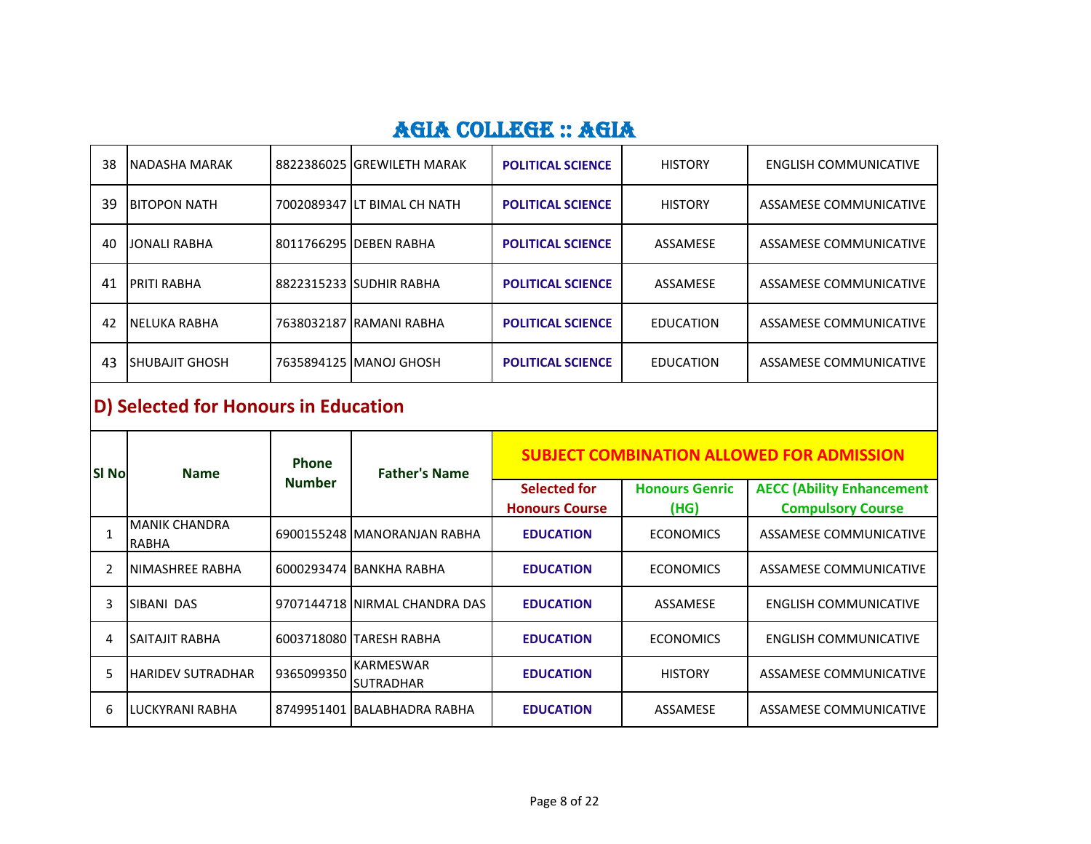| 38 | INADASHA MARAK      | 8822386025 GREWILETH MARAK  | <b>POLITICAL SCIENCE</b> | <b>HISTORY</b>   | ENGLISH COMMUNICATIVE  |
|----|---------------------|-----------------------------|--------------------------|------------------|------------------------|
| 39 | IBITOPON NATH       | 7002089347 LT BIMAL CH NATH | <b>POLITICAL SCIENCE</b> | <b>HISTORY</b>   | ASSAMESE COMMUNICATIVE |
| 40 | JONALI RABHA        | 8011766295 DEBEN RABHA      | <b>POLITICAL SCIENCE</b> | ASSAMESE         | ASSAMESE COMMUNICATIVE |
| 41 | <b>IPRITI RABHA</b> | 8822315233 SUDHIR RABHA     | <b>POLITICAL SCIENCE</b> | ASSAMESE         | ASSAMESE COMMUNICATIVE |
| 42 | INELUKA RABHA       | 7638032187 RAMANI RABHA     | <b>POLITICAL SCIENCE</b> | <b>EDUCATION</b> | ASSAMESE COMMUNICATIVE |
| 43 | ISHUBAJIT GHOSH     | 7635894125 MANOJ GHOSH      | <b>POLITICAL SCIENCE</b> | <b>EDUCATION</b> | ASSAMESE COMMUNICATIVE |

# **D) Selected for Honours in Education**

| <b>SI No</b> | <b>Name</b>              | <b>Phone</b><br><b>Number</b> | <b>Father's Name</b>                 | <b>SUBJECT COMBINATION ALLOWED FOR ADMISSION</b> |                               |                                                              |
|--------------|--------------------------|-------------------------------|--------------------------------------|--------------------------------------------------|-------------------------------|--------------------------------------------------------------|
|              |                          |                               |                                      | <b>Selected for</b><br><b>Honours Course</b>     | <b>Honours Genric</b><br>(HG) | <b>AECC (Ability Enhancement</b><br><b>Compulsory Course</b> |
|              | MANIK CHANDRA<br>RABHA   |                               | 6900155248   MANORANJAN RABHA        | <b>EDUCATION</b>                                 | <b>ECONOMICS</b>              | ASSAMESE COMMUNICATIVE                                       |
|              | NIMASHREE RABHA          |                               | 6000293474 BANKHA RABHA              | <b>EDUCATION</b>                                 | <b>ECONOMICS</b>              | ASSAMESE COMMUNICATIVE                                       |
| 3            | SIBANI DAS               |                               | 9707144718 INIRMAL CHANDRA DAS       | <b>EDUCATION</b>                                 | ASSAMESE                      | <b>ENGLISH COMMUNICATIVE</b>                                 |
| 4            | <b>SAITAJIT RABHA</b>    |                               | 6003718080 TARESH RABHA              | <b>EDUCATION</b>                                 | <b>ECONOMICS</b>              | <b>ENGLISH COMMUNICATIVE</b>                                 |
| 5.           | <b>HARIDEV SUTRADHAR</b> | 9365099350                    | <b>KARMESWAR</b><br><b>SUTRADHAR</b> | <b>EDUCATION</b>                                 | <b>HISTORY</b>                | ASSAMESE COMMUNICATIVE                                       |
| 6            | LUCKYRANI RABHA          |                               | 8749951401 IBALABHADRA RABHA         | <b>EDUCATION</b>                                 | ASSAMESE                      | ASSAMESE COMMUNICATIVE                                       |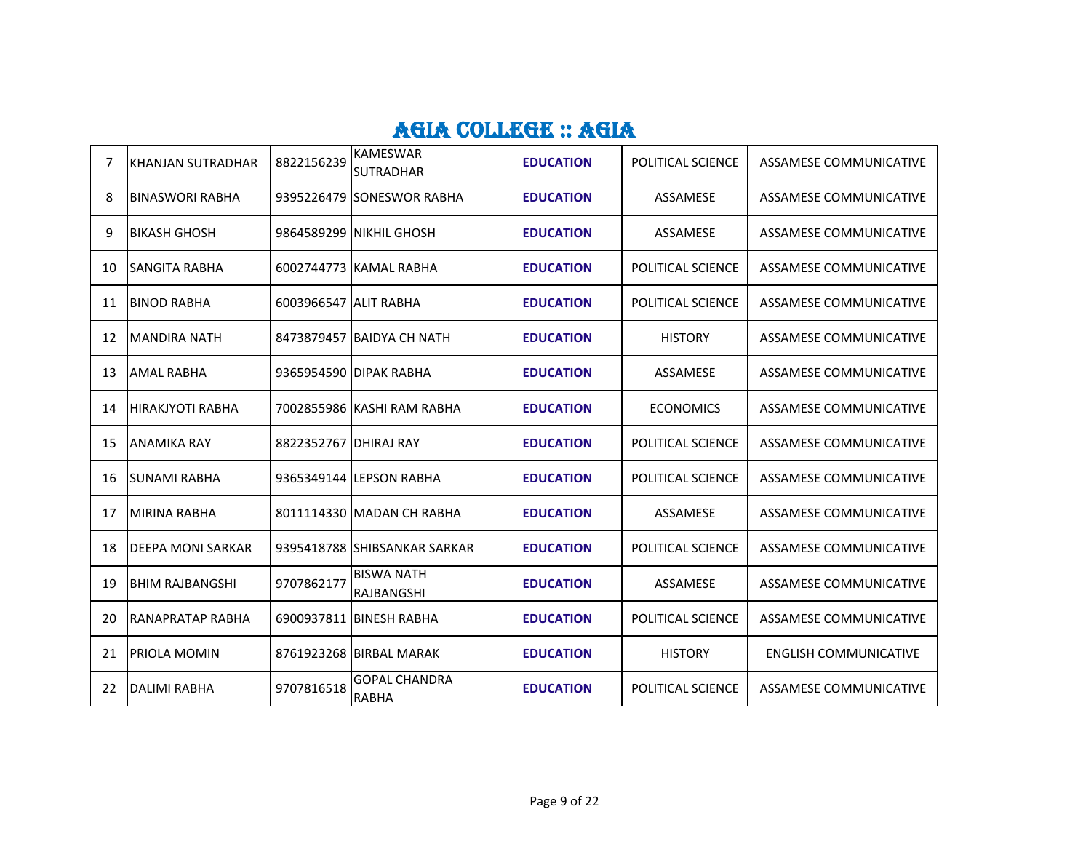| 7  | KHANJAN SUTRADHAR        | 8822156239              | <b>KAMESWAR</b><br><b>SUTRADHAR</b> | <b>EDUCATION</b> | POLITICAL SCIENCE        | ASSAMESE COMMUNICATIVE        |
|----|--------------------------|-------------------------|-------------------------------------|------------------|--------------------------|-------------------------------|
| 8  | <b>BINASWORI RABHA</b>   |                         | 9395226479 SONESWOR RABHA           | <b>EDUCATION</b> | ASSAMESE                 | ASSAMESE COMMUNICATIVE        |
| 9  | <b>BIKASH GHOSH</b>      |                         | 9864589299 INIKHIL GHOSH            | <b>EDUCATION</b> | ASSAMESE                 | ASSAMESE COMMUNICATIVE        |
| 10 | <b>SANGITA RABHA</b>     |                         | 6002744773 KAMAL RABHA              | <b>EDUCATION</b> | POLITICAL SCIENCE        | ASSAMESE COMMUNICATIVE        |
| 11 | <b>BINOD RABHA</b>       | 6003966547 ALIT RABHA   |                                     | <b>EDUCATION</b> | POLITICAL SCIENCE        | ASSAMESE COMMUNICATIVE        |
| 12 | <b>MANDIRA NATH</b>      |                         | 8473879457 BAIDYA CH NATH           | <b>EDUCATION</b> | <b>HISTORY</b>           | ASSAMESE COMMUNICATIVE        |
| 13 | <b>AMAL RABHA</b>        |                         | 9365954590 DIPAK RABHA              | <b>EDUCATION</b> | ASSAMESE                 | ASSAMESE COMMUNICATIVE        |
| 14 | <b>IHIRAKJYOTI RABHA</b> |                         | 7002855986 KASHI RAM RABHA          | <b>EDUCATION</b> | <b>ECONOMICS</b>         | ASSAMESE COMMUNICATIVE        |
| 15 | <b>ANAMIKA RAY</b>       | 8822352767   DHIRAJ RAY |                                     | <b>EDUCATION</b> | POLITICAL SCIENCE        | ASSAMESE COMMUNICATIVE        |
| 16 | <b>SUNAMI RABHA</b>      |                         | 9365349144 LEPSON RABHA             | <b>EDUCATION</b> | <b>POLITICAL SCIENCE</b> | ASSAMESE COMMUNICATIVE        |
| 17 | MIRINA RABHA             |                         | 8011114330 MADAN CH RABHA           | <b>EDUCATION</b> | ASSAMESE                 | ASSAMESE COMMUNICATIVE        |
| 18 | <b>DEEPA MONI SARKAR</b> |                         | 9395418788 SHIBSANKAR SARKAR        | <b>EDUCATION</b> | <b>POLITICAL SCIENCE</b> | ASSAMESE COMMUNICATIVE        |
| 19 | <b>BHIM RAJBANGSHI</b>   | 9707862177              | <b>BISWA NATH</b><br>RAJBANGSHI     | <b>EDUCATION</b> | ASSAMESE                 | <b>ASSAMESE COMMUNICATIVE</b> |
| 20 | RANAPRATAP RABHA         |                         | 6900937811 BINESH RABHA             | <b>EDUCATION</b> | POLITICAL SCIENCE        | ASSAMESE COMMUNICATIVE        |
| 21 | PRIOLA MOMIN             |                         | 8761923268 BIRBAL MARAK             | <b>EDUCATION</b> | <b>HISTORY</b>           | <b>ENGLISH COMMUNICATIVE</b>  |
| 22 | <b>DALIMI RABHA</b>      | 9707816518              | <b>GOPAL CHANDRA</b><br>RABHA       | <b>EDUCATION</b> | POLITICAL SCIENCE        | <b>ASSAMESE COMMUNICATIVE</b> |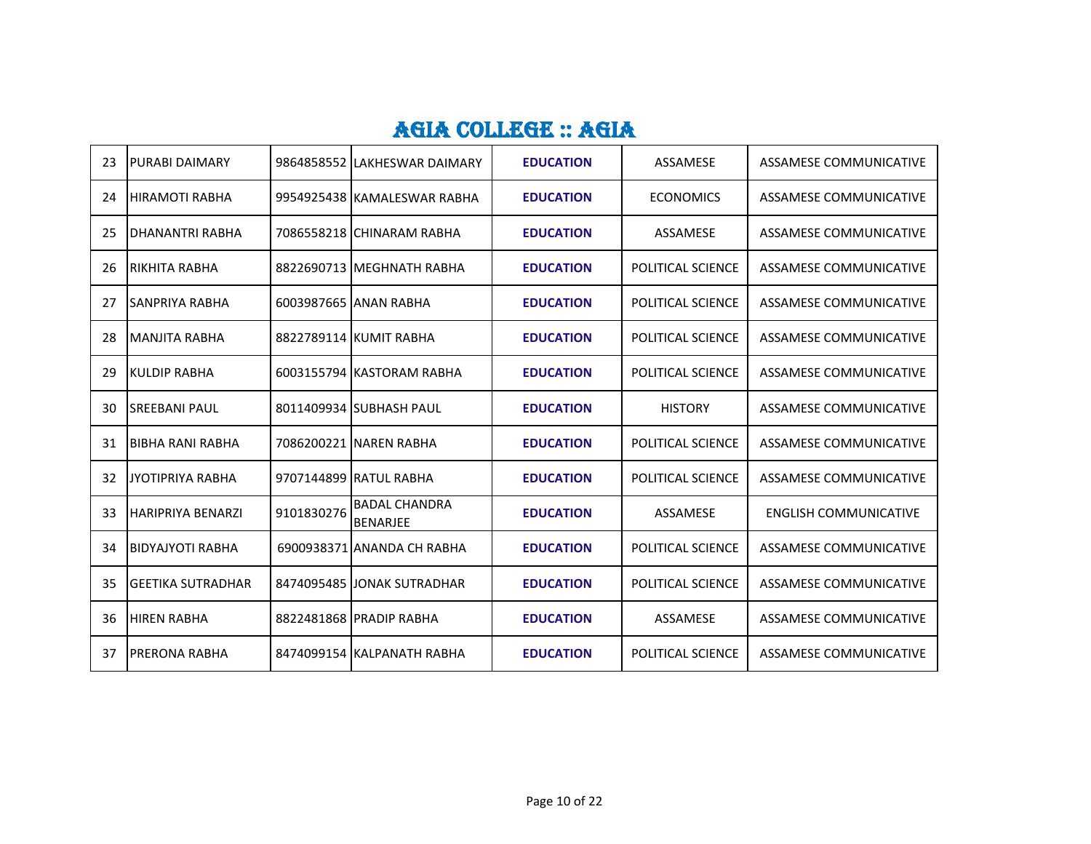| 23 | <b>PURABI DAIMARY</b>    |            | 9864858552 ILAKHESWAR DAIMARY           | <b>EDUCATION</b> | ASSAMESE                 | ASSAMESE COMMUNICATIVE        |
|----|--------------------------|------------|-----------------------------------------|------------------|--------------------------|-------------------------------|
| 24 | <b>I</b> HIRAMOTI RABHA  |            | 9954925438 KAMALESWAR RABHA             | <b>EDUCATION</b> | <b>ECONOMICS</b>         | ASSAMESE COMMUNICATIVE        |
| 25 | DHANANTRI RABHA          |            | 7086558218 CHINARAM RABHA               | <b>EDUCATION</b> | ASSAMESE                 | ASSAMESE COMMUNICATIVE        |
| 26 | IRIKHITA RABHA           |            | 8822690713 MEGHNATH RABHA               | <b>EDUCATION</b> | <b>POLITICAL SCIENCE</b> | ASSAMESE COMMUNICATIVE        |
| 27 | <b>SANPRIYA RABHA</b>    |            | 6003987665 JANAN RABHA                  | <b>EDUCATION</b> | POLITICAL SCIENCE        | ASSAMESE COMMUNICATIVE        |
| 28 | IMANJITA RABHA           |            | 8822789114 KUMIT RABHA                  | <b>EDUCATION</b> | POLITICAL SCIENCE        | ASSAMESE COMMUNICATIVE        |
| 29 | <b>KULDIP RABHA</b>      |            | 6003155794 KASTORAM RABHA               | <b>EDUCATION</b> | POLITICAL SCIENCE        | <b>ASSAMESE COMMUNICATIVE</b> |
| 30 | <b>SREEBANI PAUL</b>     |            | 8011409934 SUBHASH PAUL                 | <b>EDUCATION</b> | <b>HISTORY</b>           | ASSAMESE COMMUNICATIVE        |
| 31 | BIBHA RANI RABHA         |            | 7086200221 NAREN RABHA                  | <b>EDUCATION</b> | POLITICAL SCIENCE        | ASSAMESE COMMUNICATIVE        |
| 32 | JYOTIPRIYA RABHA         |            | 9707144899 RATUL RABHA                  | <b>EDUCATION</b> | POLITICAL SCIENCE        | ASSAMESE COMMUNICATIVE        |
| 33 | <b>HARIPRIYA BENARZI</b> | 9101830276 | <b>BADAL CHANDRA</b><br><b>BENARJEE</b> | <b>EDUCATION</b> | ASSAMESE                 | <b>ENGLISH COMMUNICATIVE</b>  |
| 34 | <b>BIDYAJYOTI RABHA</b>  |            | 6900938371 ANANDA CH RABHA              | <b>EDUCATION</b> | POLITICAL SCIENCE        | ASSAMESE COMMUNICATIVE        |
| 35 | <b>GEETIKA SUTRADHAR</b> |            | 8474095485 JJONAK SUTRADHAR             | <b>EDUCATION</b> | POLITICAL SCIENCE        | ASSAMESE COMMUNICATIVE        |
| 36 | <b>HIREN RABHA</b>       |            | 8822481868 PRADIP RABHA                 | <b>EDUCATION</b> | ASSAMESE                 | ASSAMESE COMMUNICATIVE        |
| 37 | <b>PRERONA RABHA</b>     |            | 8474099154 KALPANATH RABHA              | <b>EDUCATION</b> | POLITICAL SCIENCE        | ASSAMESE COMMUNICATIVE        |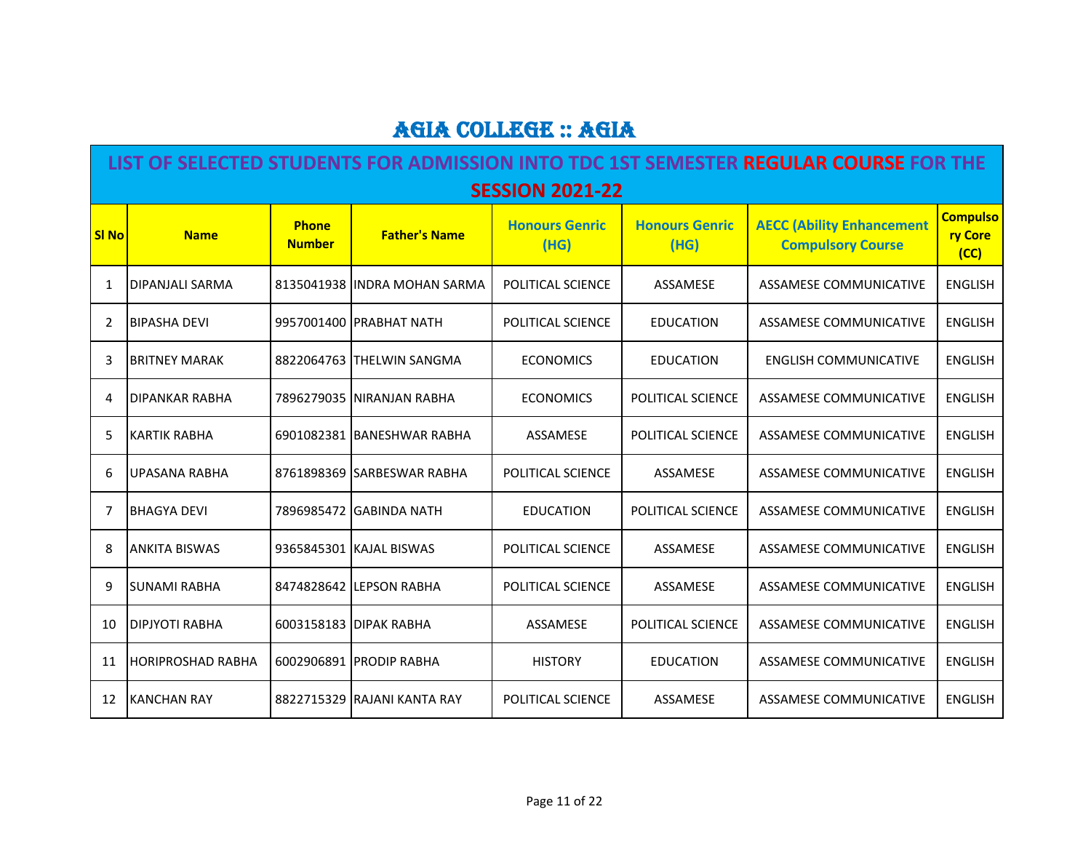|              | LIST OF SELECTED STUDENTS FOR ADMISSION INTO TDC 1ST SEMESTER REGULAR COURSE FOR THE |                               |                               |                               |                               |                                                              |                                    |  |  |  |  |
|--------------|--------------------------------------------------------------------------------------|-------------------------------|-------------------------------|-------------------------------|-------------------------------|--------------------------------------------------------------|------------------------------------|--|--|--|--|
|              | <b>SESSION 2021-22</b>                                                               |                               |                               |                               |                               |                                                              |                                    |  |  |  |  |
| <b>SI No</b> | <b>Name</b>                                                                          | <b>Phone</b><br><b>Number</b> | <b>Father's Name</b>          | <b>Honours Genric</b><br>(HG) | <b>Honours Genric</b><br>(HG) | <b>AECC (Ability Enhancement</b><br><b>Compulsory Course</b> | <b>Compulso</b><br>ry Core<br>(CC) |  |  |  |  |
| 1            | DIPANJALI SARMA                                                                      |                               | 8135041938 IINDRA MOHAN SARMA | POLITICAL SCIENCE             | ASSAMESE                      | <b>ASSAMESE COMMUNICATIVE</b>                                | <b>ENGLISH</b>                     |  |  |  |  |
| 2            | <b>BIPASHA DEVI</b>                                                                  |                               | 9957001400 PRABHAT NATH       | POLITICAL SCIENCE             | <b>EDUCATION</b>              | <b>ASSAMESE COMMUNICATIVE</b>                                | <b>ENGLISH</b>                     |  |  |  |  |
| 3            | <b>BRITNEY MARAK</b>                                                                 |                               | 8822064763 THELWIN SANGMA     | <b>ECONOMICS</b>              | <b>EDUCATION</b>              | <b>ENGLISH COMMUNICATIVE</b>                                 | <b>ENGLISH</b>                     |  |  |  |  |
| 4            | DIPANKAR RABHA                                                                       |                               | 7896279035 INIRANJAN RABHA    | <b>ECONOMICS</b>              | POLITICAL SCIENCE             | ASSAMESE COMMUNICATIVE                                       | <b>ENGLISH</b>                     |  |  |  |  |
| 5            | <b>KARTIK RABHA</b>                                                                  |                               | 6901082381 BANESHWAR RABHA    | ASSAMESE                      | POLITICAL SCIENCE             | ASSAMESE COMMUNICATIVE                                       | <b>ENGLISH</b>                     |  |  |  |  |
| 6            | <b>UPASANA RABHA</b>                                                                 |                               | 8761898369 SARBESWAR RABHA    | POLITICAL SCIENCE             | ASSAMESE                      | ASSAMESE COMMUNICATIVE                                       | <b>ENGLISH</b>                     |  |  |  |  |
| 7            | <b>BHAGYA DEVI</b>                                                                   |                               | 7896985472 GABINDA NATH       | <b>EDUCATION</b>              | POLITICAL SCIENCE             | ASSAMESE COMMUNICATIVE                                       | <b>ENGLISH</b>                     |  |  |  |  |
| 8            | <b>ANKITA BISWAS</b>                                                                 |                               | 9365845301 KAJAL BISWAS       | POLITICAL SCIENCE             | ASSAMESE                      | ASSAMESE COMMUNICATIVE                                       | <b>ENGLISH</b>                     |  |  |  |  |
| 9            | <b>SUNAMI RABHA</b>                                                                  |                               | 8474828642 LEPSON RABHA       | POLITICAL SCIENCE             | ASSAMESE                      | ASSAMESE COMMUNICATIVE                                       | <b>ENGLISH</b>                     |  |  |  |  |
| 10           | DIPJYOTI RABHA                                                                       |                               | 6003158183 DIPAK RABHA        | ASSAMESE                      | POLITICAL SCIENCE             | <b>ASSAMESE COMMUNICATIVE</b>                                | <b>ENGLISH</b>                     |  |  |  |  |
| 11           | <b>HORIPROSHAD RABHA</b>                                                             |                               | 6002906891 PRODIP RABHA       | <b>HISTORY</b>                | <b>EDUCATION</b>              | ASSAMESE COMMUNICATIVE                                       | <b>ENGLISH</b>                     |  |  |  |  |
| 12           | <b>KANCHAN RAY</b>                                                                   |                               | 8822715329 RAJANI KANTA RAY   | POLITICAL SCIENCE             | ASSAMESE                      | <b>ASSAMESE COMMUNICATIVE</b>                                | <b>ENGLISH</b>                     |  |  |  |  |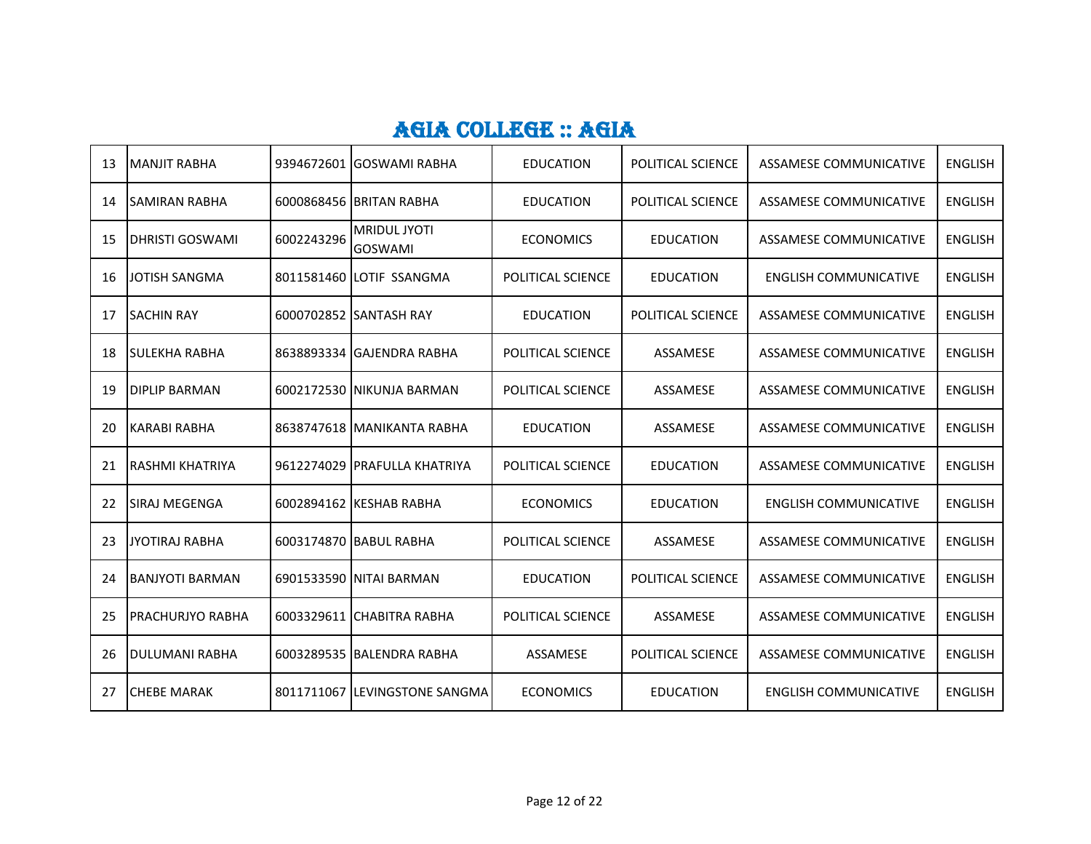| 13  | <b>MANJIT RABHA</b>    |            | 9394672601 GOSWAMI RABHA              | <b>EDUCATION</b>  | POLITICAL SCIENCE | <b>ASSAMESE COMMUNICATIVE</b> | <b>ENGLISH</b> |
|-----|------------------------|------------|---------------------------------------|-------------------|-------------------|-------------------------------|----------------|
| 14  | <b>SAMIRAN RABHA</b>   |            | 6000868456 BRITAN RABHA               | <b>EDUCATION</b>  | POLITICAL SCIENCE | <b>ASSAMESE COMMUNICATIVE</b> | <b>ENGLISH</b> |
| -15 | <b>DHRISTI GOSWAMI</b> | 6002243296 | <b>MRIDUL JYOTI</b><br><b>GOSWAMI</b> | <b>ECONOMICS</b>  | <b>EDUCATION</b>  | ASSAMESE COMMUNICATIVE        | <b>ENGLISH</b> |
| 16  | JOTISH SANGMA          |            | 8011581460 LOTIF SSANGMA              | POLITICAL SCIENCE | <b>EDUCATION</b>  | <b>ENGLISH COMMUNICATIVE</b>  | <b>ENGLISH</b> |
| 17  | <b>SACHIN RAY</b>      |            | 6000702852 SANTASH RAY                | <b>EDUCATION</b>  | POLITICAL SCIENCE | <b>ASSAMESE COMMUNICATIVE</b> | <b>ENGLISH</b> |
| 18  | <b>SULEKHA RABHA</b>   |            | 8638893334 GAJENDRA RABHA             | POLITICAL SCIENCE | ASSAMESE          | ASSAMESE COMMUNICATIVE        | <b>ENGLISH</b> |
| 19  | <b>DIPLIP BARMAN</b>   |            | 6002172530 NIKUNJA BARMAN             | POLITICAL SCIENCE | ASSAMESE          | ASSAMESE COMMUNICATIVE        | <b>ENGLISH</b> |
| 20  | <b>KARABI RABHA</b>    |            | 8638747618 MANIKANTA RABHA            | <b>EDUCATION</b>  | ASSAMESE          | ASSAMESE COMMUNICATIVE        | <b>ENGLISH</b> |
| 21  | <b>RASHMI KHATRIYA</b> |            | 9612274029 PRAFULLA KHATRIYA          | POLITICAL SCIENCE | <b>EDUCATION</b>  | ASSAMESE COMMUNICATIVE        | <b>ENGLISH</b> |
| 22  | <b>ISIRAJ MEGENGA</b>  |            | 6002894162 KESHAB RABHA               | <b>ECONOMICS</b>  | <b>EDUCATION</b>  | <b>ENGLISH COMMUNICATIVE</b>  | <b>ENGLISH</b> |
| 23  | JYOTIRAJ RABHA         |            | 6003174870 BABUL RABHA                | POLITICAL SCIENCE | ASSAMESE          | ASSAMESE COMMUNICATIVE        | <b>ENGLISH</b> |
| 24  | IBANJYOTI BARMAN       |            | 6901533590 INITAI BARMAN              | <b>EDUCATION</b>  | POLITICAL SCIENCE | ASSAMESE COMMUNICATIVE        | <b>ENGLISH</b> |
| 25  | PRACHURJYO RABHA       |            | 6003329611 CHABITRA RABHA             | POLITICAL SCIENCE | ASSAMESE          | ASSAMESE COMMUNICATIVE        | <b>ENGLISH</b> |
| 26  | <b>DULUMANI RABHA</b>  |            | 6003289535 BALENDRA RABHA             | ASSAMESE          | POLITICAL SCIENCE | ASSAMESE COMMUNICATIVE        | <b>ENGLISH</b> |
| 27  | <b>CHEBE MARAK</b>     |            | 8011711067 LEVINGSTONE SANGMA         | <b>ECONOMICS</b>  | <b>EDUCATION</b>  | <b>ENGLISH COMMUNICATIVE</b>  | <b>ENGLISH</b> |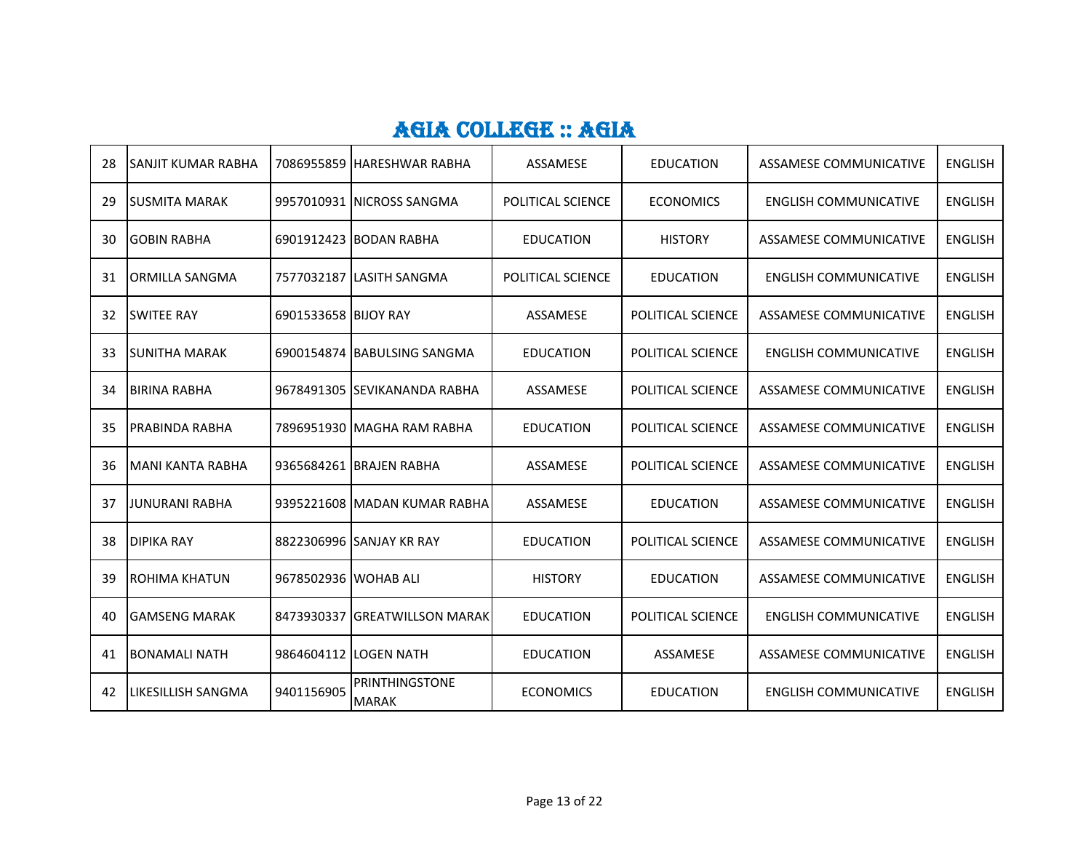| 28 | <b>ISANJIT KUMAR RABHA</b> |                      | 7086955859 HARESHWAR RABHA     | ASSAMESE          | <b>EDUCATION</b>  | ASSAMESE COMMUNICATIVE        | <b>ENGLISH</b> |
|----|----------------------------|----------------------|--------------------------------|-------------------|-------------------|-------------------------------|----------------|
| 29 | <b>ISUSMITA MARAK</b>      |                      | 9957010931 INICROSS SANGMA     | POLITICAL SCIENCE | <b>ECONOMICS</b>  | <b>ENGLISH COMMUNICATIVE</b>  | <b>ENGLISH</b> |
| 30 | <b>GOBIN RABHA</b>         |                      | 6901912423 BODAN RABHA         | <b>EDUCATION</b>  | <b>HISTORY</b>    | ASSAMESE COMMUNICATIVE        | <b>ENGLISH</b> |
| 31 | <b>ORMILLA SANGMA</b>      |                      | 7577032187 LASITH SANGMA       | POLITICAL SCIENCE | <b>EDUCATION</b>  | <b>ENGLISH COMMUNICATIVE</b>  | <b>ENGLISH</b> |
| 32 | <b>SWITEE RAY</b>          | 6901533658 BIJOY RAY |                                | ASSAMESE          | POLITICAL SCIENCE | <b>ASSAMESE COMMUNICATIVE</b> | <b>ENGLISH</b> |
| 33 | <b>ISUNITHA MARAK</b>      |                      | 6900154874 BABULSING SANGMA    | <b>EDUCATION</b>  | POLITICAL SCIENCE | <b>ENGLISH COMMUNICATIVE</b>  | <b>ENGLISH</b> |
| 34 | <b>BIRINA RABHA</b>        |                      | 9678491305 SEVIKANANDA RABHA   | ASSAMESE          | POLITICAL SCIENCE | <b>ASSAMESE COMMUNICATIVE</b> | <b>ENGLISH</b> |
| 35 | PRABINDA RABHA             |                      | 7896951930 IMAGHA RAM RABHA    | <b>EDUCATION</b>  | POLITICAL SCIENCE | ASSAMESE COMMUNICATIVE        | <b>ENGLISH</b> |
| 36 | <b>MANI KANTA RABHA</b>    |                      | 9365684261 BRAJEN RABHA        | ASSAMESE          | POLITICAL SCIENCE | <b>ASSAMESE COMMUNICATIVE</b> | <b>ENGLISH</b> |
| 37 | <b>JUNURANI RABHA</b>      |                      | 9395221608 MADAN KUMAR RABHA   | ASSAMESE          | <b>EDUCATION</b>  | ASSAMESE COMMUNICATIVE        | <b>ENGLISH</b> |
| 38 | <b>DIPIKA RAY</b>          |                      | 8822306996 SANJAY KR RAY       | <b>EDUCATION</b>  | POLITICAL SCIENCE | ASSAMESE COMMUNICATIVE        | <b>ENGLISH</b> |
| 39 | IROHIMA KHATUN             | 9678502936 WOHAB ALI |                                | <b>HISTORY</b>    | <b>EDUCATION</b>  | ASSAMESE COMMUNICATIVE        | <b>ENGLISH</b> |
| 40 | <b>GAMSENG MARAK</b>       |                      | 8473930337 GREATWILLSON MARAK  | <b>EDUCATION</b>  | POLITICAL SCIENCE | <b>ENGLISH COMMUNICATIVE</b>  | <b>ENGLISH</b> |
| 41 | <b>BONAMALI NATH</b>       |                      | 9864604112 LOGEN NATH          | <b>EDUCATION</b>  | ASSAMESE          | ASSAMESE COMMUNICATIVE        | <b>ENGLISH</b> |
| 42 | <b>LIKESILLISH SANGMA</b>  | 9401156905           | PRINTHINGSTONE<br><b>MARAK</b> | <b>ECONOMICS</b>  | <b>EDUCATION</b>  | <b>ENGLISH COMMUNICATIVE</b>  | <b>ENGLISH</b> |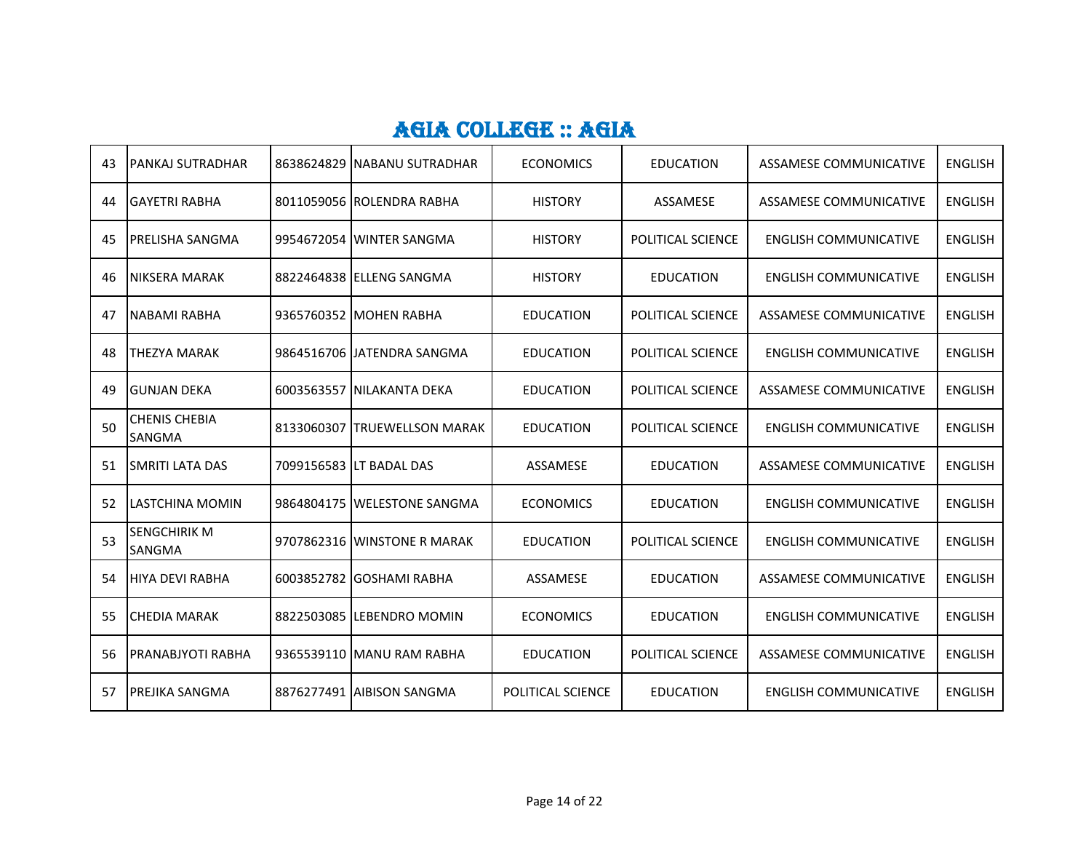| 43 | <b>PANKAJ SUTRADHAR</b>               | 8638624829 INABANU SUTRADHAR | <b>ECONOMICS</b>  | <b>EDUCATION</b>  | ASSAMESE COMMUNICATIVE        | <b>ENGLISH</b> |
|----|---------------------------------------|------------------------------|-------------------|-------------------|-------------------------------|----------------|
| 44 | <b>GAYETRI RABHA</b>                  | 8011059056 ROLENDRA RABHA    | <b>HISTORY</b>    | ASSAMESE          | ASSAMESE COMMUNICATIVE        | <b>ENGLISH</b> |
| 45 | <b>PRELISHA SANGMA</b>                | 9954672054 WINTER SANGMA     | <b>HISTORY</b>    | POLITICAL SCIENCE | <b>ENGLISH COMMUNICATIVE</b>  | <b>ENGLISH</b> |
| 46 | NIKSERA MARAK                         | 8822464838 ELLENG SANGMA     | <b>HISTORY</b>    | <b>EDUCATION</b>  | <b>ENGLISH COMMUNICATIVE</b>  | <b>ENGLISH</b> |
| 47 | <b>NABAMI RABHA</b>                   | 9365760352 MOHEN RABHA       | <b>EDUCATION</b>  | POLITICAL SCIENCE | <b>ASSAMESE COMMUNICATIVE</b> | <b>ENGLISH</b> |
| 48 | <b>THEZYA MARAK</b>                   | 9864516706 JJATENDRA SANGMA  | <b>EDUCATION</b>  | POLITICAL SCIENCE | <b>ENGLISH COMMUNICATIVE</b>  | <b>ENGLISH</b> |
| 49 | IGUNJAN DEKA                          | 6003563557 INILAKANTA DEKA   | <b>EDUCATION</b>  | POLITICAL SCIENCE | ASSAMESE COMMUNICATIVE        | <b>ENGLISH</b> |
| 50 | <b>CHENIS CHEBIA</b><br><b>SANGMA</b> | 8133060307 TRUEWELLSON MARAK | <b>EDUCATION</b>  | POLITICAL SCIENCE | <b>ENGLISH COMMUNICATIVE</b>  | <b>ENGLISH</b> |
| 51 | <b>SMRITI LATA DAS</b>                | 7099156583 LT BADAL DAS      | ASSAMESE          | <b>EDUCATION</b>  | <b>ASSAMESE COMMUNICATIVE</b> | <b>ENGLISH</b> |
| 52 | LASTCHINA MOMIN                       | 9864804175 WELESTONE SANGMA  | <b>ECONOMICS</b>  | <b>EDUCATION</b>  | <b>ENGLISH COMMUNICATIVE</b>  | <b>ENGLISH</b> |
| 53 | <b>SENGCHIRIK M</b><br>SANGMA         | 9707862316 WINSTONE R MARAK  | <b>EDUCATION</b>  | POLITICAL SCIENCE | <b>ENGLISH COMMUNICATIVE</b>  | <b>ENGLISH</b> |
| 54 | IHIYA DEVI RABHA                      | 6003852782 GOSHAMI RABHA     | ASSAMESE          | <b>EDUCATION</b>  | ASSAMESE COMMUNICATIVE        | <b>ENGLISH</b> |
| 55 | <b>CHEDIA MARAK</b>                   | 8822503085 ILEBENDRO MOMIN   | <b>ECONOMICS</b>  | <b>EDUCATION</b>  | <b>ENGLISH COMMUNICATIVE</b>  | <b>ENGLISH</b> |
| 56 | PRANABJYOTI RABHA                     | 9365539110 MANU RAM RABHA    | <b>EDUCATION</b>  | POLITICAL SCIENCE | ASSAMESE COMMUNICATIVE        | <b>ENGLISH</b> |
| 57 | PREJIKA SANGMA                        | 8876277491 AIBISON SANGMA    | POLITICAL SCIENCE | <b>EDUCATION</b>  | <b>ENGLISH COMMUNICATIVE</b>  | <b>ENGLISH</b> |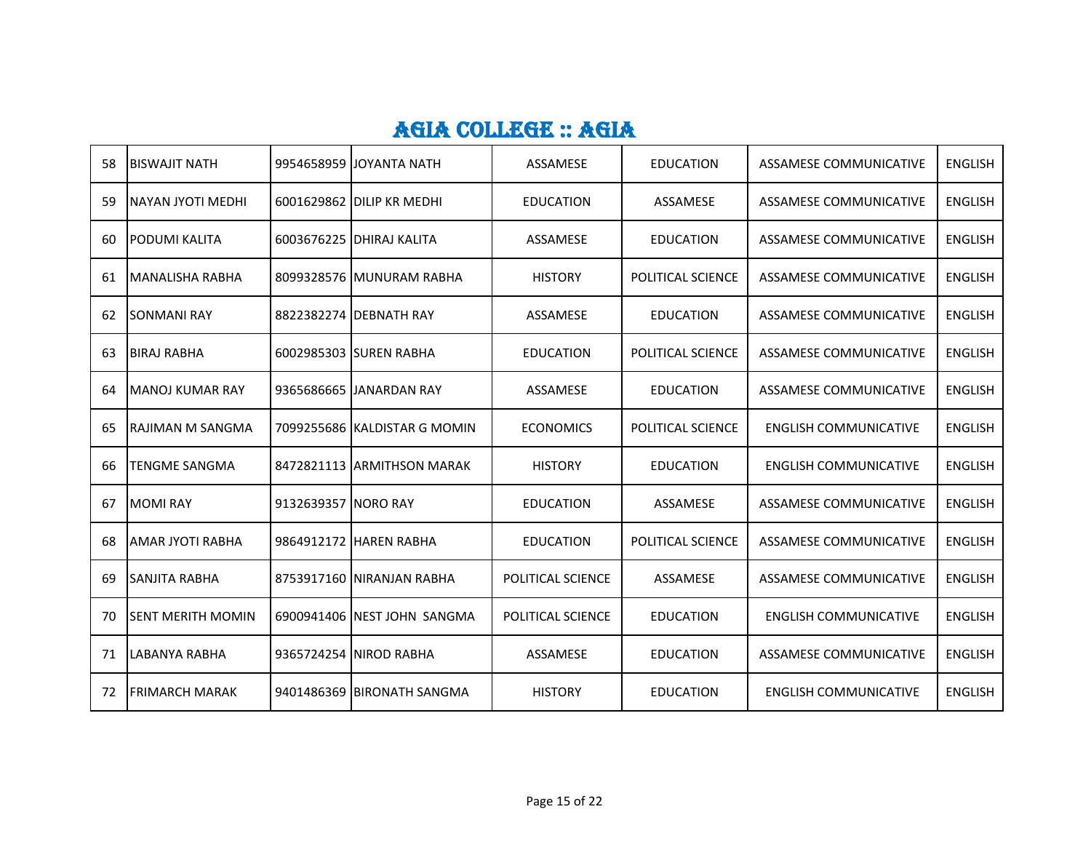| 58 | <b>BISWAJIT NATH</b>  |                     | 9954658959 JJOYANTA NATH     | ASSAMESE          | <b>EDUCATION</b>  | ASSAMESE COMMUNICATIVE        | <b>ENGLISH</b> |
|----|-----------------------|---------------------|------------------------------|-------------------|-------------------|-------------------------------|----------------|
| 59 | NAYAN JYOTI MEDHI     |                     | 6001629862 DILIP KR MEDHI    | <b>EDUCATION</b>  | ASSAMESE          | ASSAMESE COMMUNICATIVE        | <b>ENGLISH</b> |
| 60 | <b>PODUMI KALITA</b>  |                     | 6003676225 DHIRAJ KALITA     | ASSAMESE          | <b>EDUCATION</b>  | ASSAMESE COMMUNICATIVE        | <b>ENGLISH</b> |
| 61 | MANALISHA RABHA       |                     | 8099328576 MUNURAM RABHA     | <b>HISTORY</b>    | POLITICAL SCIENCE | ASSAMESE COMMUNICATIVE        | <b>ENGLISH</b> |
| 62 | <b>ISONMANI RAY</b>   |                     | 8822382274 DEBNATH RAY       | ASSAMESE          | <b>EDUCATION</b>  | ASSAMESE COMMUNICATIVE        | <b>ENGLISH</b> |
| 63 | <b>BIRAJ RABHA</b>    |                     | 6002985303 SUREN RABHA       | <b>EDUCATION</b>  | POLITICAL SCIENCE | <b>ASSAMESE COMMUNICATIVE</b> | <b>ENGLISH</b> |
| 64 | MANOJ KUMAR RAY       |                     | 9365686665 JJANARDAN RAY     | ASSAMESE          | <b>EDUCATION</b>  | ASSAMESE COMMUNICATIVE        | <b>ENGLISH</b> |
| 65 | IRAJIMAN M SANGMA     |                     | 7099255686 KALDISTAR G MOMIN | <b>ECONOMICS</b>  | POLITICAL SCIENCE | <b>ENGLISH COMMUNICATIVE</b>  | <b>ENGLISH</b> |
| 66 | <b>TENGME SANGMA</b>  |                     | 8472821113 ARMITHSON MARAK   | <b>HISTORY</b>    | <b>EDUCATION</b>  | <b>ENGLISH COMMUNICATIVE</b>  | <b>ENGLISH</b> |
| 67 | <b>MOMIRAY</b>        | 9132639357 NORO RAY |                              | <b>EDUCATION</b>  | ASSAMESE          | ASSAMESE COMMUNICATIVE        | <b>ENGLISH</b> |
| 68 | IAMAR JYOTI RABHA     |                     | 9864912172 HAREN RABHA       | <b>EDUCATION</b>  | POLITICAL SCIENCE | ASSAMESE COMMUNICATIVE        | <b>ENGLISH</b> |
| 69 | ISANJITA RABHA        |                     | 8753917160 NIRANJAN RABHA    | POLITICAL SCIENCE | ASSAMESE          | ASSAMESE COMMUNICATIVE        | <b>ENGLISH</b> |
| 70 | ISENT MERITH MOMIN    |                     | 6900941406 INEST JOHN SANGMA | POLITICAL SCIENCE | <b>EDUCATION</b>  | <b>ENGLISH COMMUNICATIVE</b>  | <b>ENGLISH</b> |
| 71 | LABANYA RABHA         |                     | 9365724254 NIROD RABHA       | ASSAMESE          | <b>EDUCATION</b>  | ASSAMESE COMMUNICATIVE        | <b>ENGLISH</b> |
| 72 | <b>FRIMARCH MARAK</b> |                     | 9401486369 BIRONATH SANGMA   | <b>HISTORY</b>    | <b>EDUCATION</b>  | <b>ENGLISH COMMUNICATIVE</b>  | <b>ENGLISH</b> |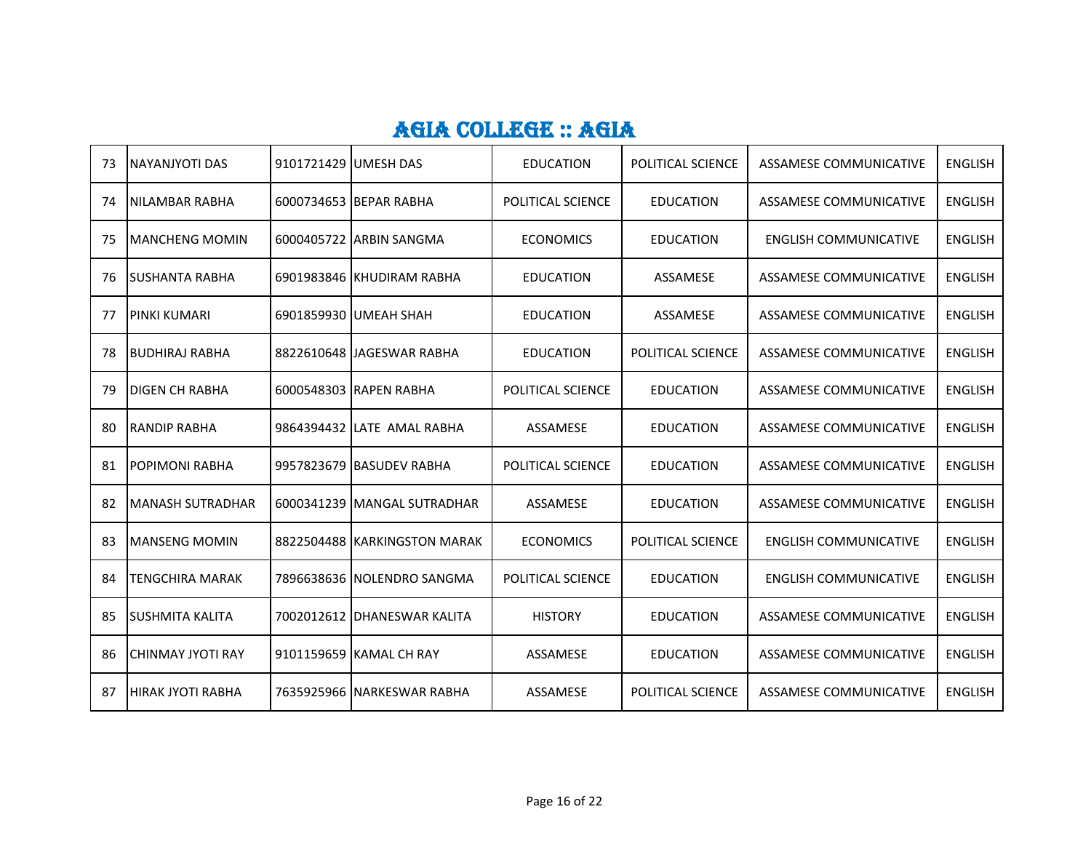| 73 | INAYANJYOTI DAS          | 9101721429 JUMESH DAS |                              | <b>EDUCATION</b>  | <b>POLITICAL SCIENCE</b> | ASSAMESE COMMUNICATIVE        | <b>ENGLISH</b> |
|----|--------------------------|-----------------------|------------------------------|-------------------|--------------------------|-------------------------------|----------------|
| 74 | INILAMBAR RABHA          |                       | 6000734653 BEPAR RABHA       | POLITICAL SCIENCE | <b>EDUCATION</b>         | ASSAMESE COMMUNICATIVE        | <b>ENGLISH</b> |
| 75 | IMANCHENG MOMIN          |                       | 6000405722 ARBIN SANGMA      | <b>ECONOMICS</b>  | <b>EDUCATION</b>         | <b>ENGLISH COMMUNICATIVE</b>  | <b>ENGLISH</b> |
| 76 | <b>ISUSHANTA RABHA</b>   |                       | 6901983846 KHUDIRAM RABHA    | <b>EDUCATION</b>  | ASSAMESE                 | <b>ASSAMESE COMMUNICATIVE</b> | <b>ENGLISH</b> |
| 77 | <b>PINKI KUMARI</b>      |                       | 6901859930 JUMEAH SHAH       | <b>EDUCATION</b>  | ASSAMESE                 | ASSAMESE COMMUNICATIVE        | <b>ENGLISH</b> |
| 78 | <b>BUDHIRAJ RABHA</b>    |                       | 8822610648 JJAGESWAR RABHA   | <b>EDUCATION</b>  | POLITICAL SCIENCE        | <b>ASSAMESE COMMUNICATIVE</b> | <b>ENGLISH</b> |
| 79 | IDIGEN CH RABHA          |                       | 6000548303 RAPEN RABHA       | POLITICAL SCIENCE | <b>EDUCATION</b>         | ASSAMESE COMMUNICATIVE        | <b>ENGLISH</b> |
| 80 | <b>RANDIP RABHA</b>      |                       | 9864394432 LATE AMAL RABHA   | <b>ASSAMESE</b>   | <b>EDUCATION</b>         | ASSAMESE COMMUNICATIVE        | <b>ENGLISH</b> |
| 81 | <b>POPIMONI RABHA</b>    |                       | 9957823679 BASUDEV RABHA     | POLITICAL SCIENCE | <b>EDUCATION</b>         | <b>ASSAMESE COMMUNICATIVE</b> | <b>ENGLISH</b> |
| 82 | <b>MANASH SUTRADHAR</b>  |                       | 6000341239 MANGAL SUTRADHAR  | <b>ASSAMESE</b>   | <b>EDUCATION</b>         | <b>ASSAMESE COMMUNICATIVE</b> | <b>ENGLISH</b> |
| 83 | <b>IMANSENG MOMIN</b>    |                       | 8822504488 KARKINGSTON MARAK | <b>ECONOMICS</b>  | POLITICAL SCIENCE        | <b>ENGLISH COMMUNICATIVE</b>  | <b>ENGLISH</b> |
| 84 | <b>TENGCHIRA MARAK</b>   |                       | 7896638636 NOLENDRO SANGMA   | POLITICAL SCIENCE | <b>EDUCATION</b>         | <b>ENGLISH COMMUNICATIVE</b>  | <b>ENGLISH</b> |
| 85 | <b>ISUSHMITA KALITA</b>  |                       | 7002012612 DHANESWAR KALITA  | <b>HISTORY</b>    | <b>EDUCATION</b>         | ASSAMESE COMMUNICATIVE        | <b>ENGLISH</b> |
| 86 | CHINMAY JYOTI RAY        |                       | 9101159659 KAMAL CH RAY      | <b>ASSAMESE</b>   | <b>EDUCATION</b>         | ASSAMESE COMMUNICATIVE        | <b>ENGLISH</b> |
| 87 | <b>HIRAK JYOTI RABHA</b> |                       | 7635925966 INARKESWAR RABHA  | <b>ASSAMESE</b>   | POLITICAL SCIENCE        | <b>ASSAMESE COMMUNICATIVE</b> | <b>ENGLISH</b> |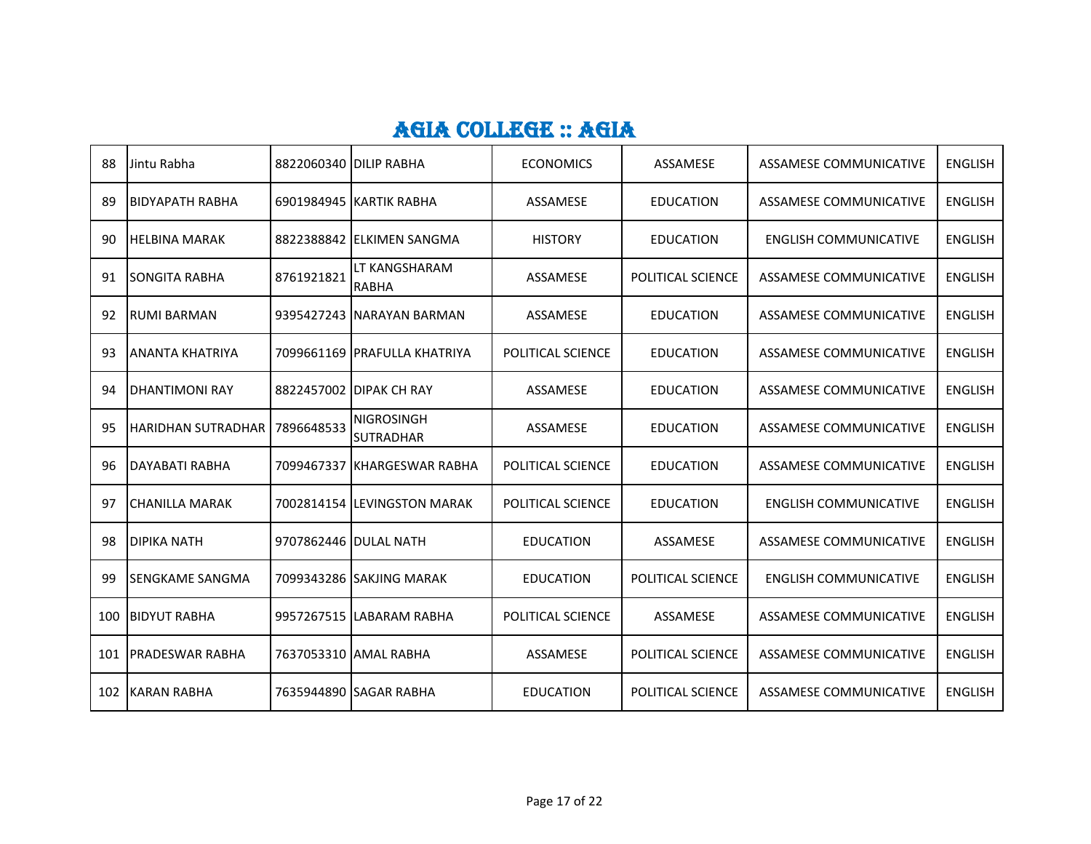| 88  | Jintu Rabha             | 8822060340 DILIP RABHA |                                       | <b>ECONOMICS</b>  | ASSAMESE          | ASSAMESE COMMUNICATIVE        | <b>ENGLISH</b> |
|-----|-------------------------|------------------------|---------------------------------------|-------------------|-------------------|-------------------------------|----------------|
| 89  | ІВІDҮАРАТН RABHA        |                        | 6901984945 KARTIK RABHA               | ASSAMESE          | EDUCATION         | ASSAMESE COMMUNICATIVE        | <b>ENGLISH</b> |
| 90  | <b>HELBINA MARAK</b>    |                        | 8822388842 ELKIMEN SANGMA             | <b>HISTORY</b>    | EDUCATION         | <b>ENGLISH COMMUNICATIVE</b>  | <b>ENGLISH</b> |
| 91  | <b>ISONGITA RABHA</b>   | 8761921821             | LT KANGSHARAM<br><b>RABHA</b>         | ASSAMESE          | POLITICAL SCIENCE | ASSAMESE COMMUNICATIVE        | <b>ENGLISH</b> |
| 92  | <b>RUMI BARMAN</b>      |                        | 9395427243 INARAYAN BARMAN            | ASSAMESE          | <b>EDUCATION</b>  | ASSAMESE COMMUNICATIVE        | <b>ENGLISH</b> |
| 93  | IANANTA KHATRIYA        |                        | 7099661169 PRAFULLA KHATRIYA          | POLITICAL SCIENCE | <b>EDUCATION</b>  | ASSAMESE COMMUNICATIVE        | <b>ENGLISH</b> |
| 94  | <b>DHANTIMONI RAY</b>   |                        | 8822457002 DIPAK CH RAY               | ASSAMESE          | <b>EDUCATION</b>  | ASSAMESE COMMUNICATIVE        | <b>ENGLISH</b> |
| 95  | HARIDHAN SUTRADHAR      | 7896648533             | <b>NIGROSINGH</b><br><b>SUTRADHAR</b> | ASSAMESE          | EDUCATION         | ASSAMESE COMMUNICATIVE        | <b>ENGLISH</b> |
| 96  | DAYABATI RABHA          |                        | 7099467337 KHARGESWAR RABHA           | POLITICAL SCIENCE | <b>EDUCATION</b>  | ASSAMESE COMMUNICATIVE        | <b>ENGLISH</b> |
| 97  | <b>I</b> CHANILLA MARAK |                        | 7002814154 ILEVINGSTON MARAK          | POLITICAL SCIENCE | <b>EDUCATION</b>  | <b>ENGLISH COMMUNICATIVE</b>  | <b>ENGLISH</b> |
| 98  | <b>DIPIKA NATH</b>      | 9707862446 DULAL NATH  |                                       | <b>EDUCATION</b>  | ASSAMESE          | ASSAMESE COMMUNICATIVE        | <b>ENGLISH</b> |
| 99  | <b>ISENGKAME SANGMA</b> |                        | 7099343286 SAKJING MARAK              | <b>EDUCATION</b>  | POLITICAL SCIENCE | <b>ENGLISH COMMUNICATIVE</b>  | <b>ENGLISH</b> |
| 100 | <b>BIDYUT RABHA</b>     |                        | 9957267515 LABARAM RABHA              | POLITICAL SCIENCE | ASSAMESE          | ASSAMESE COMMUNICATIVE        | <b>ENGLISH</b> |
| 101 | <b>IPRADESWAR RABHA</b> |                        | 7637053310 AMAL RABHA                 | ASSAMESE          | POLITICAL SCIENCE | ASSAMESE COMMUNICATIVE        | <b>ENGLISH</b> |
| 102 | KARAN RABHA             |                        | 7635944890 SAGAR RABHA                | <b>EDUCATION</b>  | POLITICAL SCIENCE | <b>ASSAMESE COMMUNICATIVE</b> | <b>ENGLISH</b> |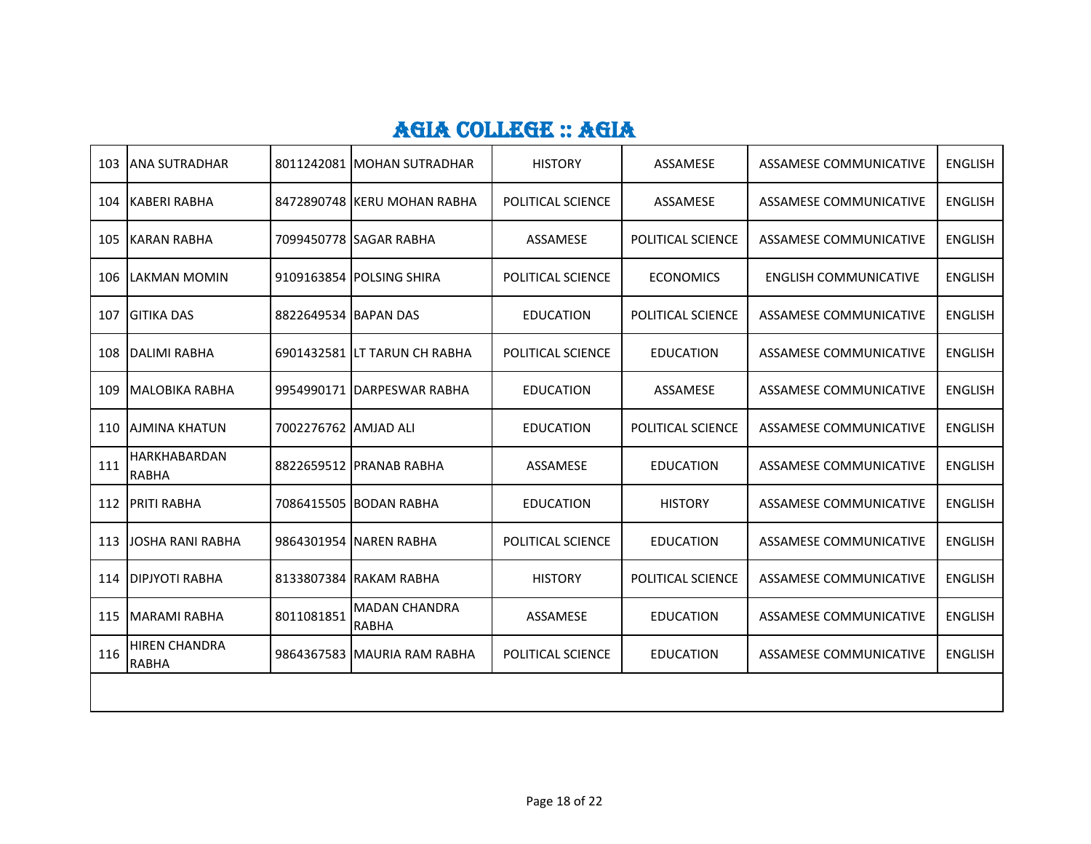| 103 | <b>JANA SUTRADHAR</b>                |                      | 8011242081 IMOHAN SUTRADHAR          | <b>HISTORY</b>    | ASSAMESE          | ASSAMESE COMMUNICATIVE        | <b>ENGLISH</b> |
|-----|--------------------------------------|----------------------|--------------------------------------|-------------------|-------------------|-------------------------------|----------------|
| 104 | <b>KABERI RABHA</b>                  |                      | 8472890748 KERU MOHAN RABHA          | POLITICAL SCIENCE | ASSAMESE          | <b>ASSAMESE COMMUNICATIVE</b> | <b>ENGLISH</b> |
| 105 | <b>KARAN RABHA</b>                   |                      | 7099450778 SAGAR RABHA               | ASSAMESE          | POLITICAL SCIENCE | <b>ASSAMESE COMMUNICATIVE</b> | <b>ENGLISH</b> |
| 106 | LAKMAN MOMIN                         |                      | 9109163854 POLSING SHIRA             | POLITICAL SCIENCE | <b>ECONOMICS</b>  | <b>ENGLISH COMMUNICATIVE</b>  | <b>ENGLISH</b> |
| 107 | <b>GITIKA DAS</b>                    | 8822649534 BAPAN DAS |                                      | <b>EDUCATION</b>  | POLITICAL SCIENCE | <b>ASSAMESE COMMUNICATIVE</b> | <b>ENGLISH</b> |
| 108 | <b>DALIMI RABHA</b>                  |                      | 6901432581 LT TARUN CH RABHA         | POLITICAL SCIENCE | <b>EDUCATION</b>  | ASSAMESE COMMUNICATIVE        | <b>ENGLISH</b> |
| 109 | <b>MALOBIKA RABHA</b>                |                      | 9954990171 DARPESWAR RABHA           | <b>EDUCATION</b>  | ASSAMESE          | <b>ASSAMESE COMMUNICATIVE</b> | <b>ENGLISH</b> |
| 110 | <b>AJMINA KHATUN</b>                 | 7002276762 AMJAD ALI |                                      | <b>EDUCATION</b>  | POLITICAL SCIENCE | ASSAMESE COMMUNICATIVE        | <b>ENGLISH</b> |
| 111 | <b>HARKHABARDAN</b><br><b>RABHA</b>  |                      | 8822659512 PRANAB RABHA              | ASSAMESE          | <b>EDUCATION</b>  | <b>ASSAMESE COMMUNICATIVE</b> | <b>ENGLISH</b> |
|     | 112 PRITI RABHA                      |                      | 7086415505 BODAN RABHA               | <b>EDUCATION</b>  | <b>HISTORY</b>    | ASSAMESE COMMUNICATIVE        | <b>ENGLISH</b> |
| 113 | <b>JOSHA RANI RABHA</b>              |                      | 9864301954 NAREN RABHA               | POLITICAL SCIENCE | <b>EDUCATION</b>  | <b>ASSAMESE COMMUNICATIVE</b> | <b>ENGLISH</b> |
| 114 | <b>DIPJYOTI RABHA</b>                |                      | 8133807384 RAKAM RABHA               | <b>HISTORY</b>    | POLITICAL SCIENCE | ASSAMESE COMMUNICATIVE        | <b>ENGLISH</b> |
| 115 | <b>MARAMI RABHA</b>                  | 8011081851           | <b>MADAN CHANDRA</b><br><b>RABHA</b> | ASSAMESE          | <b>EDUCATION</b>  | <b>ASSAMESE COMMUNICATIVE</b> | <b>ENGLISH</b> |
| 116 | <b>HIREN CHANDRA</b><br><b>RABHA</b> |                      | 9864367583 MAURIA RAM RABHA          | POLITICAL SCIENCE | <b>EDUCATION</b>  | <b>ASSAMESE COMMUNICATIVE</b> | <b>ENGLISH</b> |
|     |                                      |                      |                                      |                   |                   |                               |                |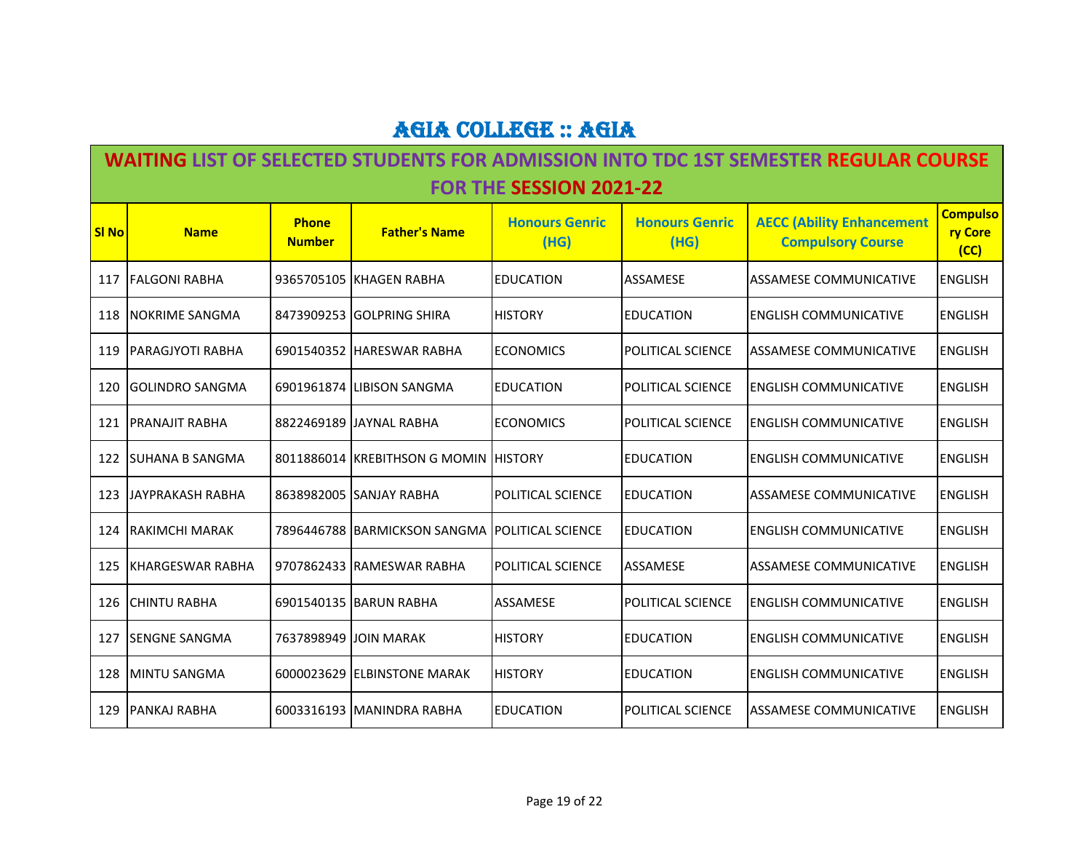#### **WAITING LIST OF SELECTED STUDENTS FOR ADMISSION INTO TDC 1ST SEMESTER REGULAR COURSE FOR THE SESSION 2021-22**

| <b>SI No</b> | <b>Name</b>             | <b>Phone</b><br><b>Number</b> | <b>Father's Name</b>                  | <b>Honours Genric</b><br>(HG) | <b>Honours Genric</b><br>(HG) | <b>AECC (Ability Enhancement</b><br><b>Compulsory Course</b> | <b>Compulso</b><br>ry Core<br>(CC) |
|--------------|-------------------------|-------------------------------|---------------------------------------|-------------------------------|-------------------------------|--------------------------------------------------------------|------------------------------------|
| 117          | FALGONI RABHA           |                               | 9365705105 KHAGEN RABHA               | <b>IEDUCATION</b>             | <b>ASSAMESE</b>               | <b>ASSAMESE COMMUNICATIVE</b>                                | <b>ENGLISH</b>                     |
| 118          | <b>NOKRIME SANGMA</b>   |                               | 8473909253 GOLPRING SHIRA             | <b>HISTORY</b>                | <b>EDUCATION</b>              | <b>ENGLISH COMMUNICATIVE</b>                                 | <b>ENGLISH</b>                     |
| 119          | PARAGJYOTI RABHA        |                               | 6901540352 HARESWAR RABHA             | <b>ECONOMICS</b>              | <b>POLITICAL SCIENCE</b>      | IASSAMESE COMMUNICATIVE                                      | <b>ENGLISH</b>                     |
| 120          | <b>GOLINDRO SANGMA</b>  |                               | 6901961874 LIBISON SANGMA             | <b>EDUCATION</b>              | <b>POLITICAL SCIENCE</b>      | ENGLISH COMMUNICATIVE                                        | <b>ENGLISH</b>                     |
| 121          | PRANAJIT RABHA          |                               | 8822469189 JJAYNAL RABHA              | <b>ECONOMICS</b>              | <b>POLITICAL SCIENCE</b>      | ENGLISH COMMUNICATIVE                                        | <b>ENGLISH</b>                     |
| 122          | <b>SUHANA B SANGMA</b>  |                               | 8011886014 KREBITHSON G MOMIN HISTORY |                               | <b>EDUCATION</b>              | <b>ENGLISH COMMUNICATIVE</b>                                 | <b>ENGLISH</b>                     |
| 123          | JAYPRAKASH RABHA        |                               | 8638982005 SANJAY RABHA               | <b>IPOLITICAL SCIENCE</b>     | <b>EDUCATION</b>              | ASSAMESE COMMUNICATIVE                                       | <b>ENGLISH</b>                     |
| 124          | RAKIMCHI MARAK          |                               | 7896446788 BARMICKSON SANGMA          | . IPOLITICAL SCIENCE          | <b>EDUCATION</b>              | ENGLISH COMMUNICATIVE                                        | <b>ENGLISH</b>                     |
| 125          | <b>KHARGESWAR RABHA</b> |                               | 9707862433 RAMESWAR RABHA             | <b>POLITICAL SCIENCE</b>      | <b>ASSAMESE</b>               | <b>ASSAMESE COMMUNICATIVE</b>                                | <b>ENGLISH</b>                     |
| 126          | <b>CHINTU RABHA</b>     |                               | 6901540135 BARUN RABHA                | <b>ASSAMESE</b>               | POLITICAL SCIENCE             | <b>ENGLISH COMMUNICATIVE</b>                                 | <b>ENGLISH</b>                     |
| 127          | <b>SENGNE SANGMA</b>    | 7637898949                    | <b>JOIN MARAK</b>                     | <b>HISTORY</b>                | <b>EDUCATION</b>              | <b>ENGLISH COMMUNICATIVE</b>                                 | <b>ENGLISH</b>                     |
| 128          | <b>MINTU SANGMA</b>     |                               | 6000023629 ELBINSTONE MARAK           | <b>IHISTORY</b>               | <b>EDUCATION</b>              | <b>ENGLISH COMMUNICATIVE</b>                                 | <b>ENGLISH</b>                     |
| 129          | PANKAJ RABHA            |                               | 6003316193 MANINDRA RABHA             | <b>EDUCATION</b>              | <b>POLITICAL SCIENCE</b>      | ASSAMESE COMMUNICATIVE                                       | <b>ENGLISH</b>                     |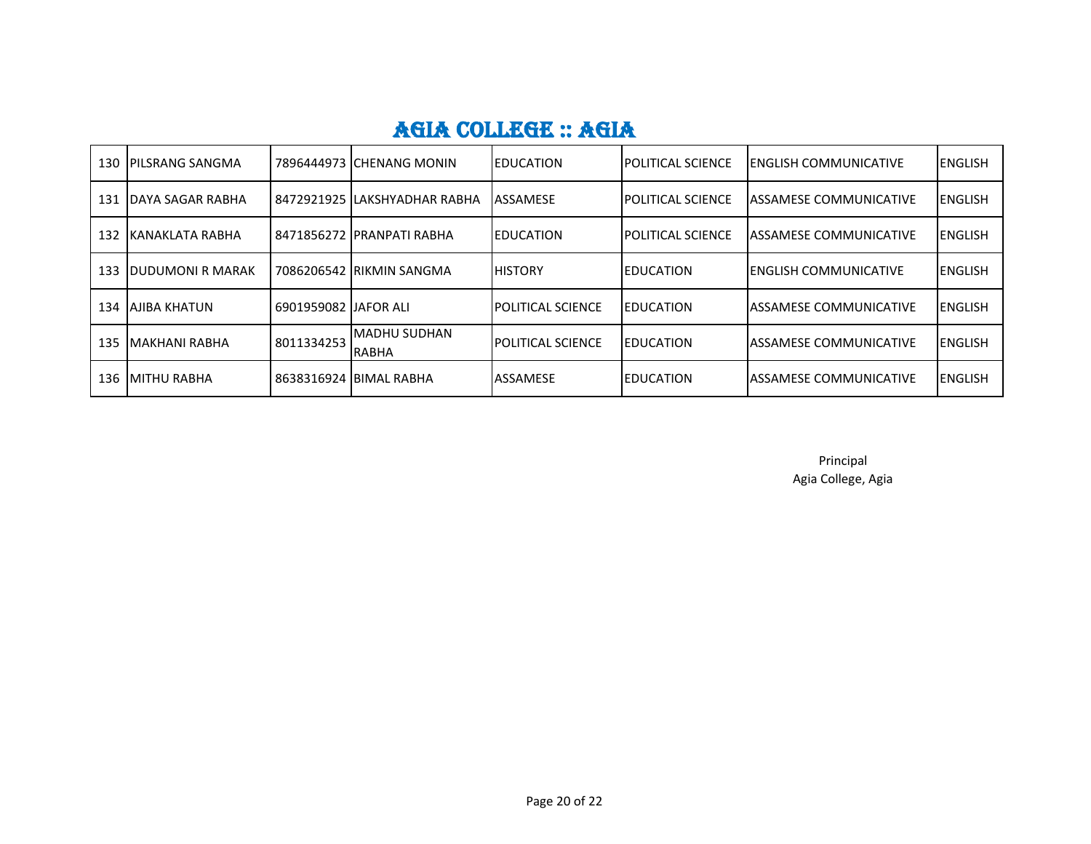| 130 | <b>IPILSRANG SANGMA</b>  |            | 7896444973 CHENANG MONIN             | <b>IEDUCATION</b>         | <b>IPOLITICAL SCIENCE</b> | <b>IENGLISH COMMUNICATIVE</b>  | IENGLISH        |
|-----|--------------------------|------------|--------------------------------------|---------------------------|---------------------------|--------------------------------|-----------------|
| 131 | <b>IDAYA SAGAR RABHA</b> |            | l 8472921925 ILAKSHYADHAR RABHA      | <b>ASSAMESE</b>           | POLITICAL SCIENCE         | IASSAMESE COMMUNICATIVE        | <b>ENGLISH</b>  |
| 132 | IKANAKLATA RABHA         |            | l 8471856272  PRANPATI RABHA         | <b>IEDUCATION</b>         | POLITICAL SCIENCE         | <b>IASSAMESE COMMUNICATIVE</b> | <b>ENGLISH</b>  |
| 133 | <b>IDUDUMONI R MARAK</b> |            | 7086206542 RIKMIN SANGMA             | <b>HISTORY</b>            | <b>EDUCATION</b>          | <b>IENGLISH COMMUNICATIVE</b>  | <b>IENGLISH</b> |
| 134 | <b>AJIBA KHATUN</b>      |            |                                      | <b>IPOLITICAL SCIENCE</b> | <b>EDUCATION</b>          | <b>IASSAMESE COMMUNICATIVE</b> | <b>ENGLISH</b>  |
| 135 | IMAKHANI RABHA           | 8011334253 | <b>IMADHU SUDHAN</b><br><b>RABHA</b> | <b>IPOLITICAL SCIENCE</b> | <b>EDUCATION</b>          | <b>IASSAMESE COMMUNICATIVE</b> | <b>ENGLISH</b>  |
| 136 | <b>IMITHU RABHA</b>      |            | 8638316924 BIMAL RABHA               | <b>ASSAMESE</b>           | <b>EDUCATION</b>          | <b>IASSAMESE COMMUNICATIVE</b> | <b>IENGLISH</b> |

Principal Agia College, Agia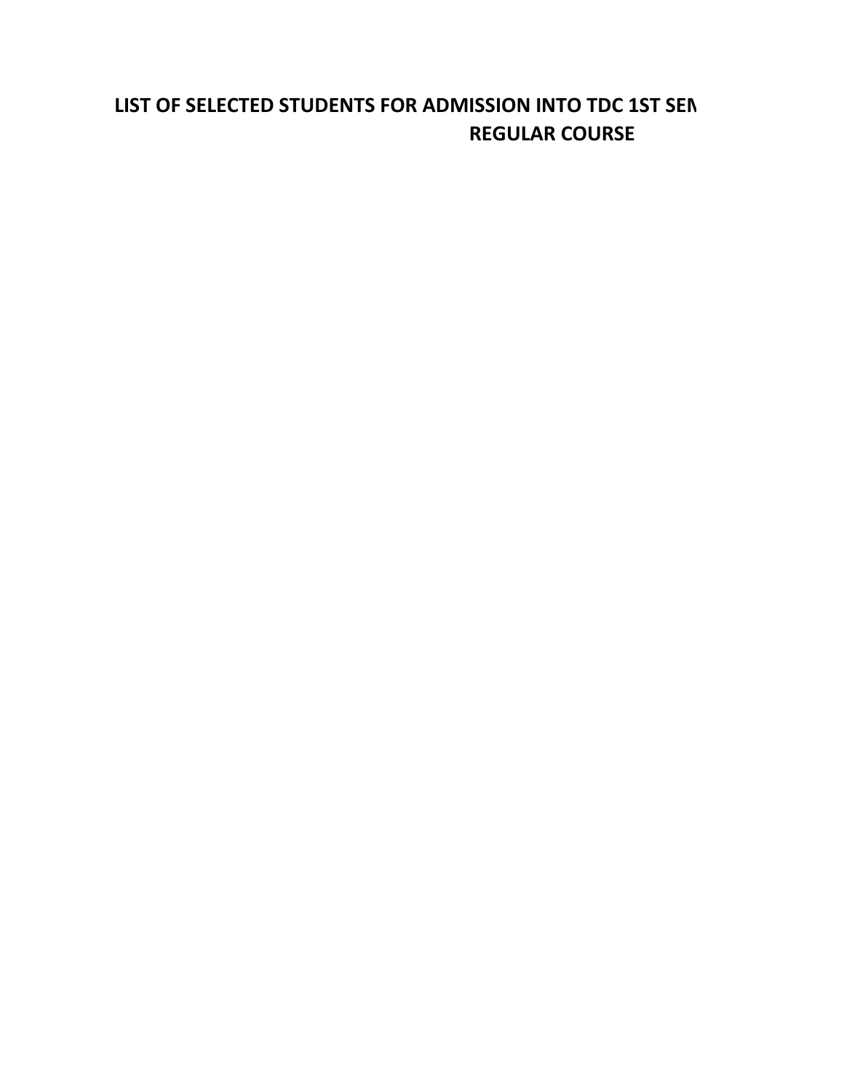#### LIST OF SELECTED STUDENTS FOR ADMISSION INTO TDC 1ST SEN **REGULAR COURSE**